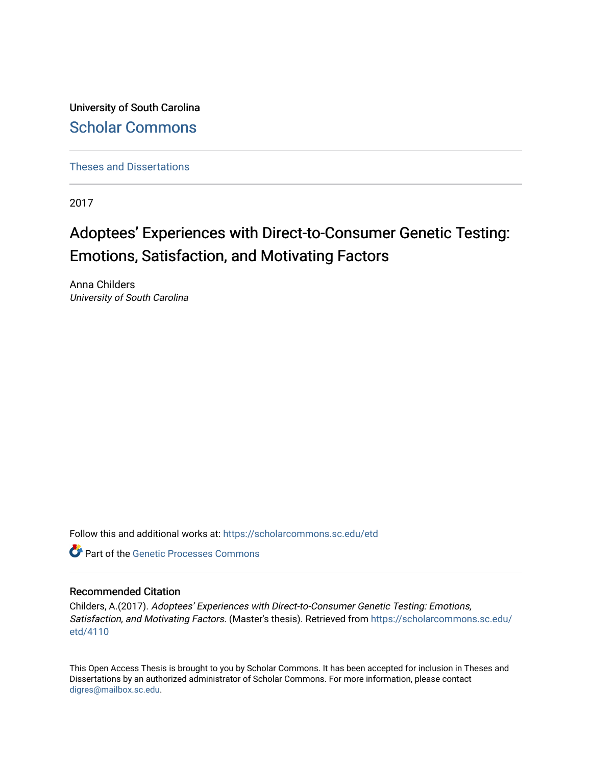University of South Carolina [Scholar Commons](https://scholarcommons.sc.edu/) 

[Theses and Dissertations](https://scholarcommons.sc.edu/etd)

2017

# Adoptees' Experiences with Direct-to-Consumer Genetic Testing: Emotions, Satisfaction, and Motivating Factors

Anna Childers University of South Carolina

Follow this and additional works at: [https://scholarcommons.sc.edu/etd](https://scholarcommons.sc.edu/etd?utm_source=scholarcommons.sc.edu%2Fetd%2F4110&utm_medium=PDF&utm_campaign=PDFCoverPages)

**C** Part of the Genetic Processes Commons

#### Recommended Citation

Childers, A.(2017). Adoptees' Experiences with Direct-to-Consumer Genetic Testing: Emotions, Satisfaction, and Motivating Factors. (Master's thesis). Retrieved from [https://scholarcommons.sc.edu/](https://scholarcommons.sc.edu/etd/4110?utm_source=scholarcommons.sc.edu%2Fetd%2F4110&utm_medium=PDF&utm_campaign=PDFCoverPages) [etd/4110](https://scholarcommons.sc.edu/etd/4110?utm_source=scholarcommons.sc.edu%2Fetd%2F4110&utm_medium=PDF&utm_campaign=PDFCoverPages) 

This Open Access Thesis is brought to you by Scholar Commons. It has been accepted for inclusion in Theses and Dissertations by an authorized administrator of Scholar Commons. For more information, please contact [digres@mailbox.sc.edu](mailto:digres@mailbox.sc.edu).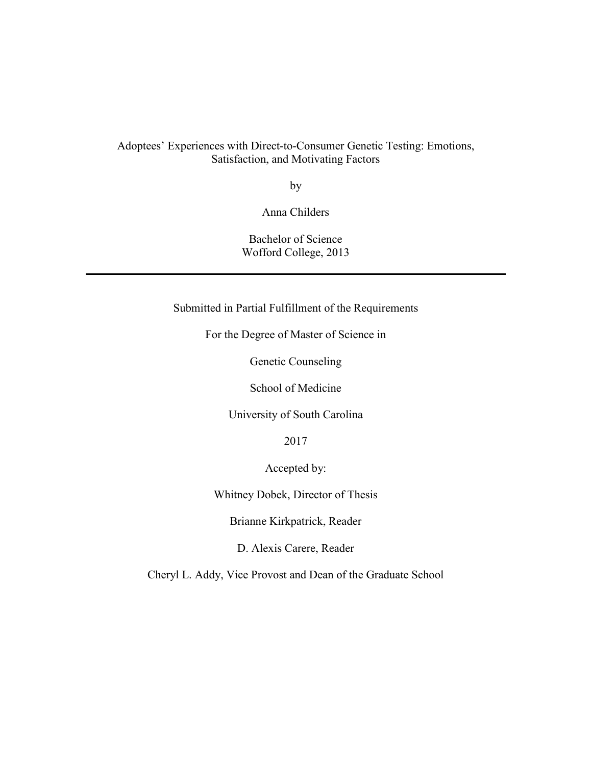## Adoptees' Experiences with Direct-to-Consumer Genetic Testing: Emotions, Satisfaction, and Motivating Factors

by

Anna Childers

Bachelor of Science Wofford College, 2013

Submitted in Partial Fulfillment of the Requirements

For the Degree of Master of Science in

Genetic Counseling

School of Medicine

University of South Carolina

2017

Accepted by:

Whitney Dobek, Director of Thesis

Brianne Kirkpatrick, Reader

D. Alexis Carere, Reader

Cheryl L. Addy, Vice Provost and Dean of the Graduate School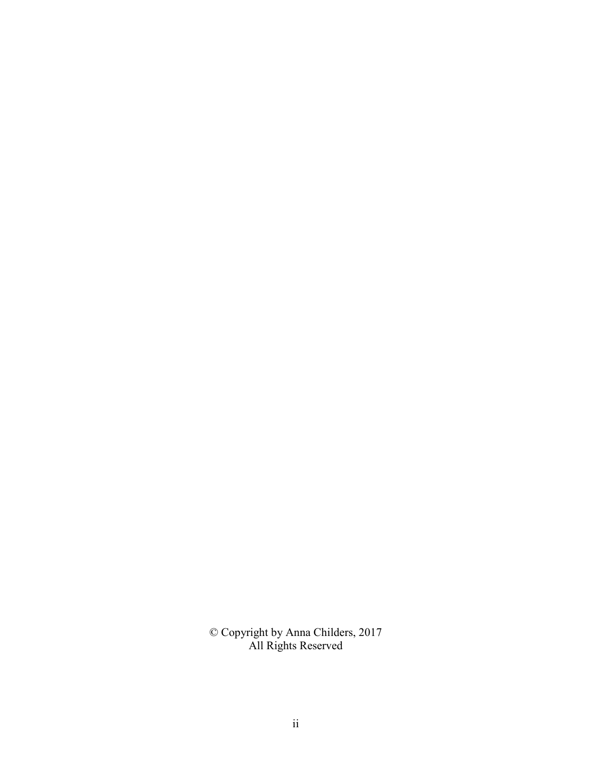© Copyright by Anna Childers, 2017 All Rights Reserved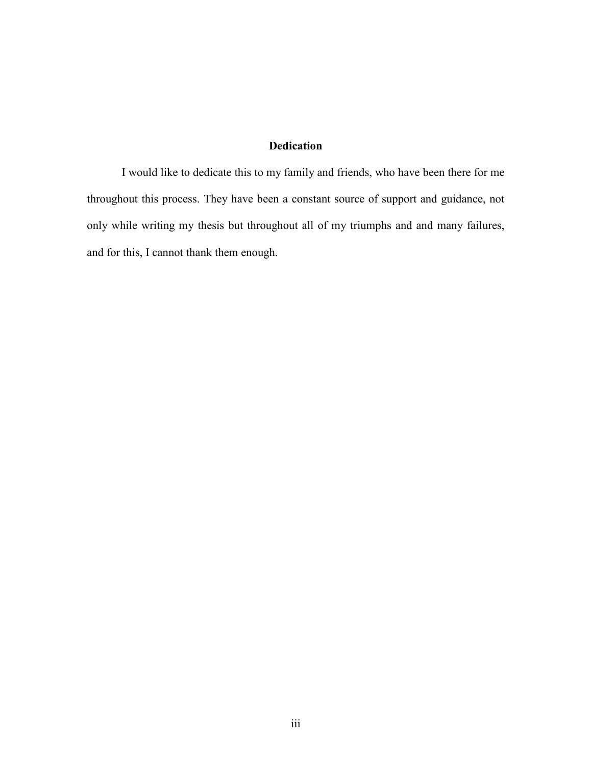### **Dedication**

 I would like to dedicate this to my family and friends, who have been there for me throughout this process. They have been a constant source of support and guidance, not only while writing my thesis but throughout all of my triumphs and and many failures, and for this, I cannot thank them enough.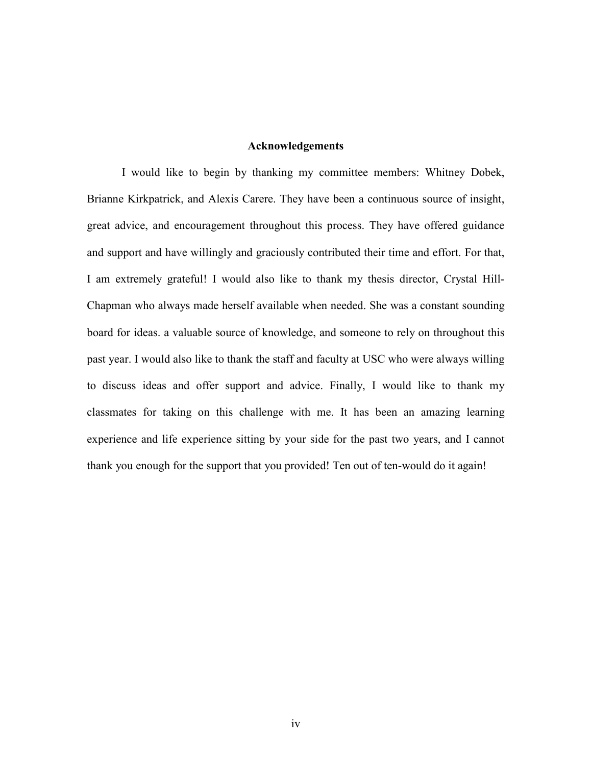#### **Acknowledgements**

 I would like to begin by thanking my committee members: Whitney Dobek, Brianne Kirkpatrick, and Alexis Carere. They have been a continuous source of insight, great advice, and encouragement throughout this process. They have offered guidance and support and have willingly and graciously contributed their time and effort. For that, I am extremely grateful! I would also like to thank my thesis director, Crystal Hill-Chapman who always made herself available when needed. She was a constant sounding board for ideas. a valuable source of knowledge, and someone to rely on throughout this past year. I would also like to thank the staff and faculty at USC who were always willing to discuss ideas and offer support and advice. Finally, I would like to thank my classmates for taking on this challenge with me. It has been an amazing learning experience and life experience sitting by your side for the past two years, and I cannot thank you enough for the support that you provided! Ten out of ten-would do it again!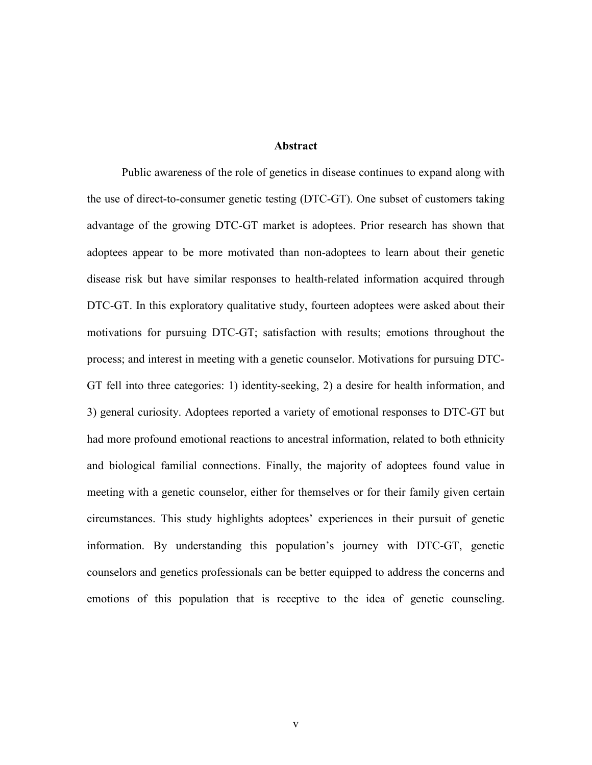#### **Abstract**

Public awareness of the role of genetics in disease continues to expand along with the use of direct-to-consumer genetic testing (DTC-GT). One subset of customers taking advantage of the growing DTC-GT market is adoptees. Prior research has shown that adoptees appear to be more motivated than non-adoptees to learn about their genetic disease risk but have similar responses to health-related information acquired through DTC-GT. In this exploratory qualitative study, fourteen adoptees were asked about their motivations for pursuing DTC-GT; satisfaction with results; emotions throughout the process; and interest in meeting with a genetic counselor. Motivations for pursuing DTC-GT fell into three categories: 1) identity-seeking, 2) a desire for health information, and 3) general curiosity. Adoptees reported a variety of emotional responses to DTC-GT but had more profound emotional reactions to ancestral information, related to both ethnicity and biological familial connections. Finally, the majority of adoptees found value in meeting with a genetic counselor, either for themselves or for their family given certain circumstances. This study highlights adoptees' experiences in their pursuit of genetic information. By understanding this population's journey with DTC-GT, genetic counselors and genetics professionals can be better equipped to address the concerns and emotions of this population that is receptive to the idea of genetic counseling.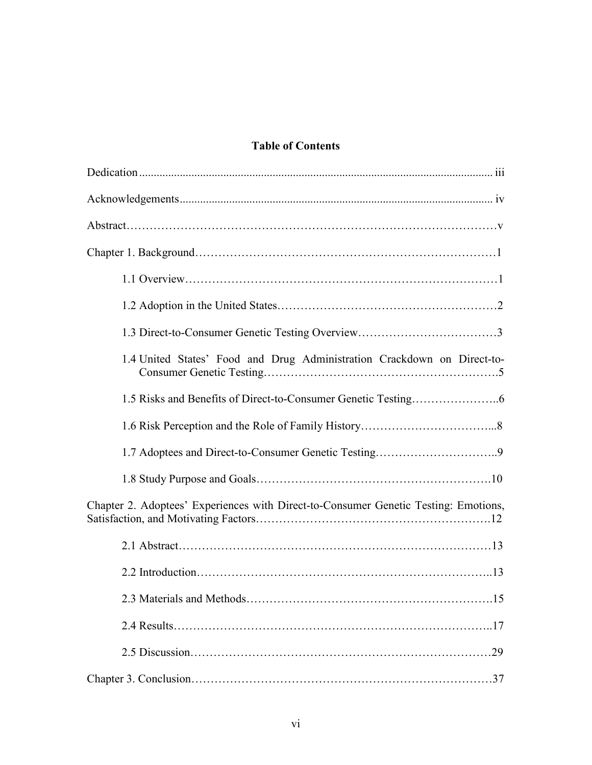# **Table of Contents**

| 1.4 United States' Food and Drug Administration Crackdown on Direct-to-             |
|-------------------------------------------------------------------------------------|
|                                                                                     |
|                                                                                     |
|                                                                                     |
|                                                                                     |
| Chapter 2. Adoptees' Experiences with Direct-to-Consumer Genetic Testing: Emotions, |
|                                                                                     |
|                                                                                     |
|                                                                                     |
|                                                                                     |
|                                                                                     |
|                                                                                     |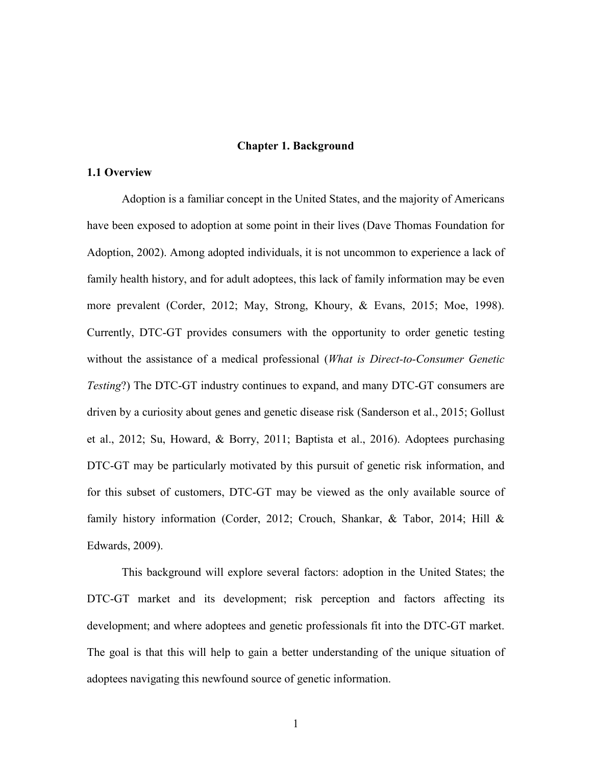#### **Chapter 1. Background**

#### **1.1 Overview**

Adoption is a familiar concept in the United States, and the majority of Americans have been exposed to adoption at some point in their lives (Dave Thomas Foundation for Adoption, 2002). Among adopted individuals, it is not uncommon to experience a lack of family health history, and for adult adoptees, this lack of family information may be even more prevalent (Corder, 2012; May, Strong, Khoury, & Evans, 2015; Moe, 1998). Currently, DTC-GT provides consumers with the opportunity to order genetic testing without the assistance of a medical professional (*What is Direct-to-Consumer Genetic Testing*?) The DTC-GT industry continues to expand, and many DTC-GT consumers are driven by a curiosity about genes and genetic disease risk (Sanderson et al., 2015; Gollust et al., 2012; Su, Howard, & Borry, 2011; Baptista et al., 2016). Adoptees purchasing DTC-GT may be particularly motivated by this pursuit of genetic risk information, and for this subset of customers, DTC-GT may be viewed as the only available source of family history information (Corder, 2012; Crouch, Shankar, & Tabor, 2014; Hill & Edwards, 2009).

This background will explore several factors: adoption in the United States; the DTC-GT market and its development; risk perception and factors affecting its development; and where adoptees and genetic professionals fit into the DTC-GT market. The goal is that this will help to gain a better understanding of the unique situation of adoptees navigating this newfound source of genetic information.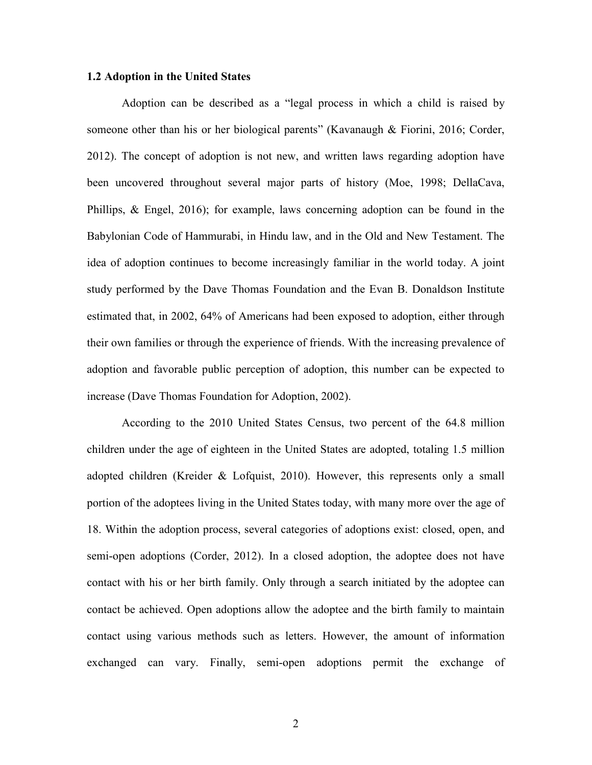#### **1.2 Adoption in the United States**

Adoption can be described as a "legal process in which a child is raised by someone other than his or her biological parents" (Kavanaugh & Fiorini, 2016; Corder, 2012). The concept of adoption is not new, and written laws regarding adoption have been uncovered throughout several major parts of history (Moe, 1998; DellaCava, Phillips, & Engel, 2016); for example, laws concerning adoption can be found in the Babylonian Code of Hammurabi, in Hindu law, and in the Old and New Testament. The idea of adoption continues to become increasingly familiar in the world today. A joint study performed by the Dave Thomas Foundation and the Evan B. Donaldson Institute estimated that, in 2002, 64% of Americans had been exposed to adoption, either through their own families or through the experience of friends. With the increasing prevalence of adoption and favorable public perception of adoption, this number can be expected to increase (Dave Thomas Foundation for Adoption, 2002).

According to the 2010 United States Census, two percent of the 64.8 million children under the age of eighteen in the United States are adopted, totaling 1.5 million adopted children (Kreider & Lofquist, 2010). However, this represents only a small portion of the adoptees living in the United States today, with many more over the age of 18. Within the adoption process, several categories of adoptions exist: closed, open, and semi-open adoptions (Corder, 2012). In a closed adoption, the adoptee does not have contact with his or her birth family. Only through a search initiated by the adoptee can contact be achieved. Open adoptions allow the adoptee and the birth family to maintain contact using various methods such as letters. However, the amount of information exchanged can vary. Finally, semi-open adoptions permit the exchange of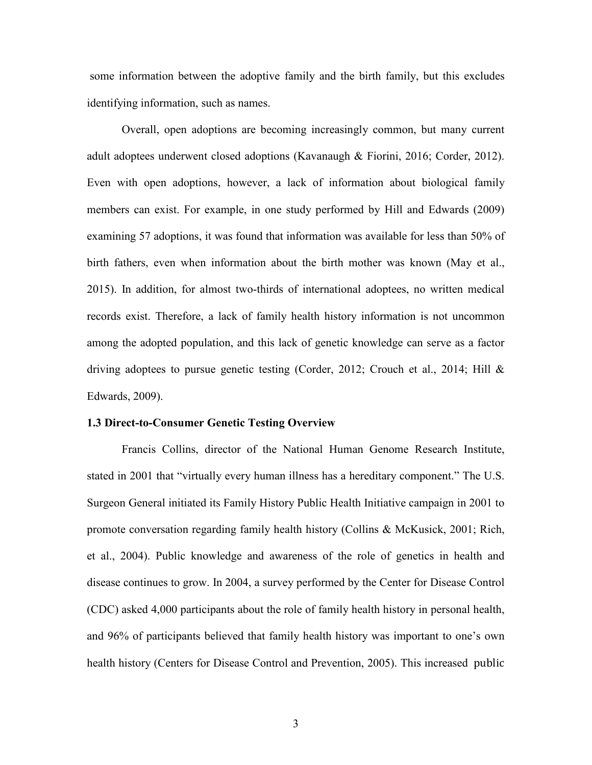some information between the adoptive family and the birth family, but this excludes identifying information, such as names.

Overall, open adoptions are becoming increasingly common, but many current adult adoptees underwent closed adoptions (Kavanaugh & Fiorini, 2016; Corder, 2012). Even with open adoptions, however, a lack of information about biological family members can exist. For example, in one study performed by Hill and Edwards (2009) examining 57 adoptions, it was found that information was available for less than 50% of birth fathers, even when information about the birth mother was known (May et al., 2015). In addition, for almost two-thirds of international adoptees, no written medical records exist. Therefore, a lack of family health history information is not uncommon among the adopted population, and this lack of genetic knowledge can serve as a factor driving adoptees to pursue genetic testing (Corder, 2012; Crouch et al., 2014; Hill & Edwards, 2009).

#### **1.3 Direct-to-Consumer Genetic Testing Overview**

Francis Collins, director of the National Human Genome Research Institute, stated in 2001 that "virtually every human illness has a hereditary component." The U.S. Surgeon General initiated its Family History Public Health Initiative campaign in 2001 to promote conversation regarding family health history (Collins & McKusick, 2001; Rich, et al., 2004). Public knowledge and awareness of the role of genetics in health and disease continues to grow. In 2004, a survey performed by the Center for Disease Control (CDC) asked 4,000 participants about the role of family health history in personal health, and 96% of participants believed that family health history was important to one's own health history (Centers for Disease Control and Prevention, 2005). This increased public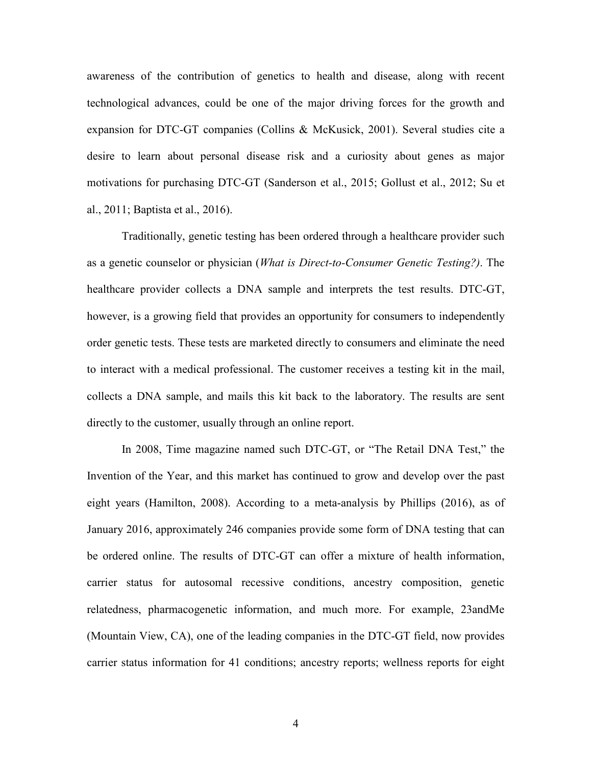awareness of the contribution of genetics to health and disease, along with recent technological advances, could be one of the major driving forces for the growth and expansion for DTC-GT companies (Collins & McKusick, 2001). Several studies cite a desire to learn about personal disease risk and a curiosity about genes as major motivations for purchasing DTC-GT (Sanderson et al., 2015; Gollust et al., 2012; Su et al., 2011; Baptista et al., 2016).

Traditionally, genetic testing has been ordered through a healthcare provider such as a genetic counselor or physician (*What is Direct-to-Consumer Genetic Testing?)*. The healthcare provider collects a DNA sample and interprets the test results. DTC-GT, however, is a growing field that provides an opportunity for consumers to independently order genetic tests. These tests are marketed directly to consumers and eliminate the need to interact with a medical professional. The customer receives a testing kit in the mail, collects a DNA sample, and mails this kit back to the laboratory. The results are sent directly to the customer, usually through an online report.

In 2008, Time magazine named such DTC-GT, or "The Retail DNA Test," the Invention of the Year, and this market has continued to grow and develop over the past eight years (Hamilton, 2008). According to a meta-analysis by Phillips (2016), as of January 2016, approximately 246 companies provide some form of DNA testing that can be ordered online. The results of DTC-GT can offer a mixture of health information, carrier status for autosomal recessive conditions, ancestry composition, genetic relatedness, pharmacogenetic information, and much more. For example, 23andMe (Mountain View, CA), one of the leading companies in the DTC-GT field, now provides carrier status information for 41 conditions; ancestry reports; wellness reports for eight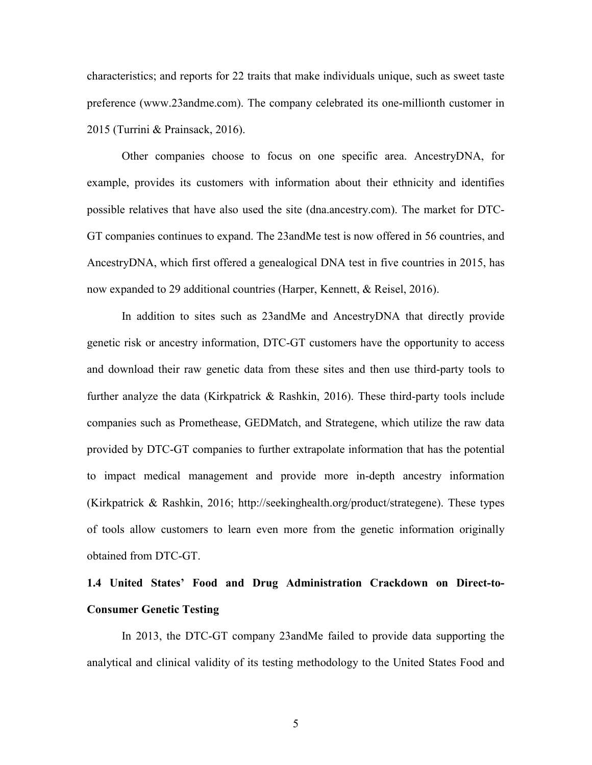characteristics; and reports for 22 traits that make individuals unique, such as sweet taste preference (www.23andme.com). The company celebrated its one-millionth customer in 2015 (Turrini & Prainsack, 2016).

Other companies choose to focus on one specific area. AncestryDNA, for example, provides its customers with information about their ethnicity and identifies possible relatives that have also used the site (dna.ancestry.com). The market for DTC-GT companies continues to expand. The 23andMe test is now offered in 56 countries, and AncestryDNA, which first offered a genealogical DNA test in five countries in 2015, has now expanded to 29 additional countries (Harper, Kennett, & Reisel, 2016).

In addition to sites such as 23andMe and AncestryDNA that directly provide genetic risk or ancestry information, DTC-GT customers have the opportunity to access and download their raw genetic data from these sites and then use third-party tools to further analyze the data (Kirkpatrick & Rashkin, 2016). These third-party tools include companies such as Promethease, GEDMatch, and Strategene, which utilize the raw data provided by DTC-GT companies to further extrapolate information that has the potential to impact medical management and provide more in-depth ancestry information (Kirkpatrick & Rashkin, 2016; http://seekinghealth.org/product/strategene). These types of tools allow customers to learn even more from the genetic information originally obtained from DTC-GT.

# **1.4 United States' Food and Drug Administration Crackdown on Direct-to-Consumer Genetic Testing**

In 2013, the DTC-GT company 23andMe failed to provide data supporting the analytical and clinical validity of its testing methodology to the United States Food and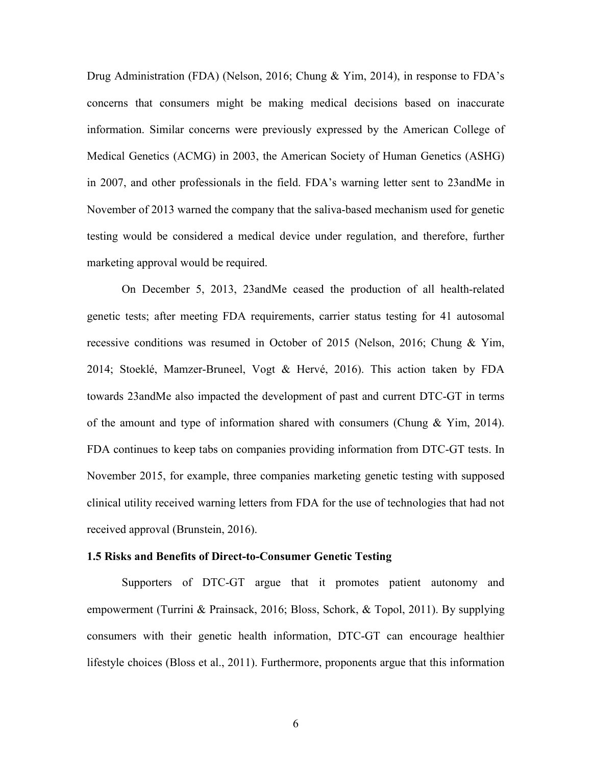Drug Administration (FDA) (Nelson, 2016; Chung & Yim, 2014), in response to FDA's concerns that consumers might be making medical decisions based on inaccurate information. Similar concerns were previously expressed by the American College of Medical Genetics (ACMG) in 2003, the American Society of Human Genetics (ASHG) in 2007, and other professionals in the field. FDA's warning letter sent to 23andMe in November of 2013 warned the company that the saliva-based mechanism used for genetic testing would be considered a medical device under regulation, and therefore, further marketing approval would be required.

On December 5, 2013, 23andMe ceased the production of all health-related genetic tests; after meeting FDA requirements, carrier status testing for 41 autosomal recessive conditions was resumed in October of 2015 (Nelson, 2016; Chung & Yim, 2014; Stoeklé, Mamzer-Bruneel, Vogt & Hervé, 2016). This action taken by FDA towards 23andMe also impacted the development of past and current DTC-GT in terms of the amount and type of information shared with consumers (Chung  $\&$  Yim, 2014). FDA continues to keep tabs on companies providing information from DTC-GT tests. In November 2015, for example, three companies marketing genetic testing with supposed clinical utility received warning letters from FDA for the use of technologies that had not received approval (Brunstein, 2016).

#### **1.5 Risks and Benefits of Direct-to-Consumer Genetic Testing**

Supporters of DTC-GT argue that it promotes patient autonomy and empowerment (Turrini & Prainsack, 2016; Bloss, Schork, & Topol, 2011). By supplying consumers with their genetic health information, DTC-GT can encourage healthier lifestyle choices (Bloss et al., 2011). Furthermore, proponents argue that this information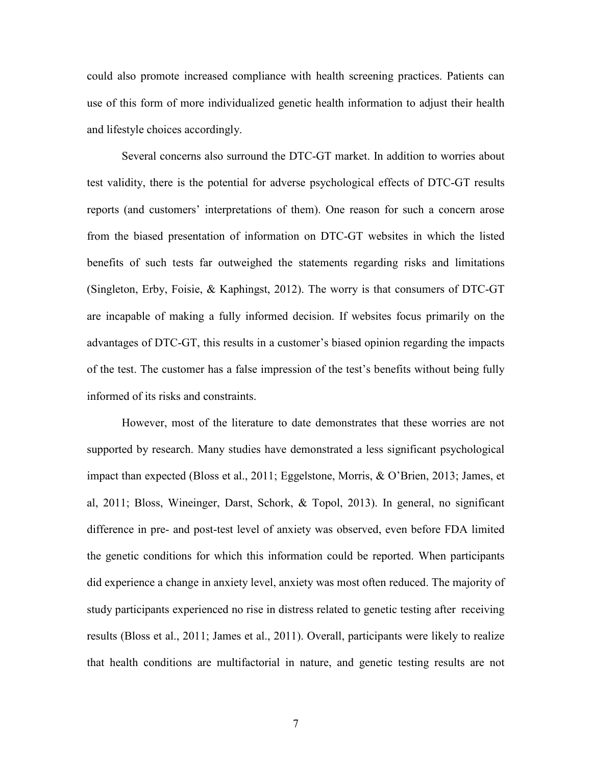could also promote increased compliance with health screening practices. Patients can use of this form of more individualized genetic health information to adjust their health and lifestyle choices accordingly.

Several concerns also surround the DTC-GT market. In addition to worries about test validity, there is the potential for adverse psychological effects of DTC-GT results reports (and customers' interpretations of them). One reason for such a concern arose from the biased presentation of information on DTC-GT websites in which the listed benefits of such tests far outweighed the statements regarding risks and limitations (Singleton, Erby, Foisie, & Kaphingst, 2012). The worry is that consumers of DTC-GT are incapable of making a fully informed decision. If websites focus primarily on the advantages of DTC-GT, this results in a customer's biased opinion regarding the impacts of the test. The customer has a false impression of the test's benefits without being fully informed of its risks and constraints.

However, most of the literature to date demonstrates that these worries are not supported by research. Many studies have demonstrated a less significant psychological impact than expected (Bloss et al., 2011; Eggelstone, Morris, & O'Brien, 2013; James, et al, 2011; Bloss, Wineinger, Darst, Schork, & Topol, 2013). In general, no significant difference in pre- and post-test level of anxiety was observed, even before FDA limited the genetic conditions for which this information could be reported. When participants did experience a change in anxiety level, anxiety was most often reduced. The majority of study participants experienced no rise in distress related to genetic testing after receiving results (Bloss et al., 2011; James et al., 2011). Overall, participants were likely to realize that health conditions are multifactorial in nature, and genetic testing results are not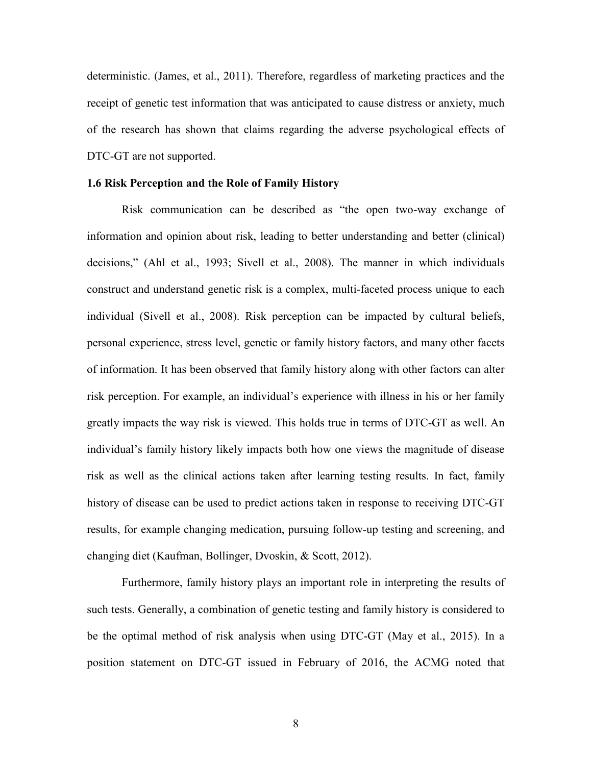deterministic. (James, et al., 2011). Therefore, regardless of marketing practices and the receipt of genetic test information that was anticipated to cause distress or anxiety, much of the research has shown that claims regarding the adverse psychological effects of DTC-GT are not supported.

#### **1.6 Risk Perception and the Role of Family History**

Risk communication can be described as "the open two-way exchange of information and opinion about risk, leading to better understanding and better (clinical) decisions," (Ahl et al., 1993; Sivell et al., 2008). The manner in which individuals construct and understand genetic risk is a complex, multi-faceted process unique to each individual (Sivell et al., 2008). Risk perception can be impacted by cultural beliefs, personal experience, stress level, genetic or family history factors, and many other facets of information. It has been observed that family history along with other factors can alter risk perception. For example, an individual's experience with illness in his or her family greatly impacts the way risk is viewed. This holds true in terms of DTC-GT as well. An individual's family history likely impacts both how one views the magnitude of disease risk as well as the clinical actions taken after learning testing results. In fact, family history of disease can be used to predict actions taken in response to receiving DTC-GT results, for example changing medication, pursuing follow-up testing and screening, and changing diet (Kaufman, Bollinger, Dvoskin, & Scott, 2012).

Furthermore, family history plays an important role in interpreting the results of such tests. Generally, a combination of genetic testing and family history is considered to be the optimal method of risk analysis when using DTC-GT (May et al., 2015). In a position statement on DTC-GT issued in February of 2016, the ACMG noted that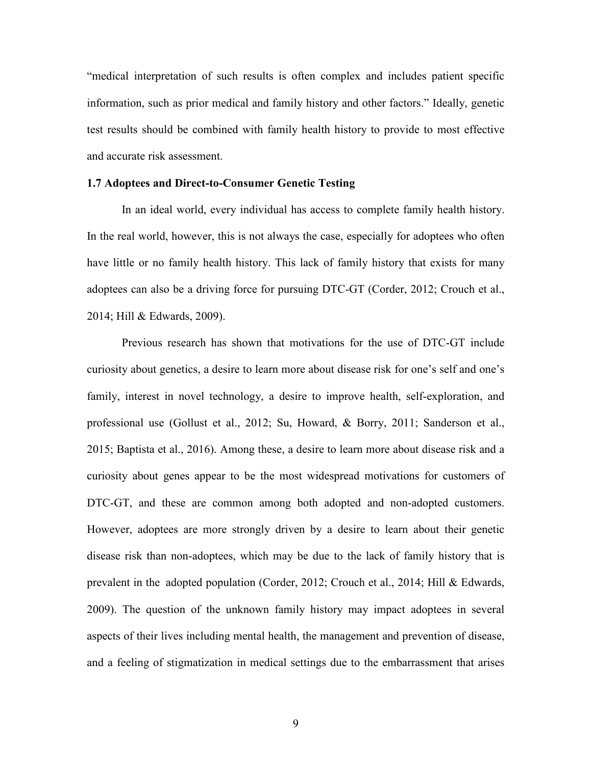"medical interpretation of such results is often complex and includes patient specific information, such as prior medical and family history and other factors." Ideally, genetic test results should be combined with family health history to provide to most effective and accurate risk assessment.

#### **1.7 Adoptees and Direct-to-Consumer Genetic Testing**

In an ideal world, every individual has access to complete family health history. In the real world, however, this is not always the case, especially for adoptees who often have little or no family health history. This lack of family history that exists for many adoptees can also be a driving force for pursuing DTC-GT (Corder, 2012; Crouch et al., 2014; Hill & Edwards, 2009).

Previous research has shown that motivations for the use of DTC-GT include curiosity about genetics, a desire to learn more about disease risk for one's self and one's family, interest in novel technology, a desire to improve health, self-exploration, and professional use (Gollust et al., 2012; Su, Howard, & Borry, 2011; Sanderson et al., 2015; Baptista et al., 2016). Among these, a desire to learn more about disease risk and a curiosity about genes appear to be the most widespread motivations for customers of DTC-GT, and these are common among both adopted and non-adopted customers. However, adoptees are more strongly driven by a desire to learn about their genetic disease risk than non-adoptees, which may be due to the lack of family history that is prevalent in the adopted population (Corder, 2012; Crouch et al., 2014; Hill & Edwards, 2009). The question of the unknown family history may impact adoptees in several aspects of their lives including mental health, the management and prevention of disease, and a feeling of stigmatization in medical settings due to the embarrassment that arises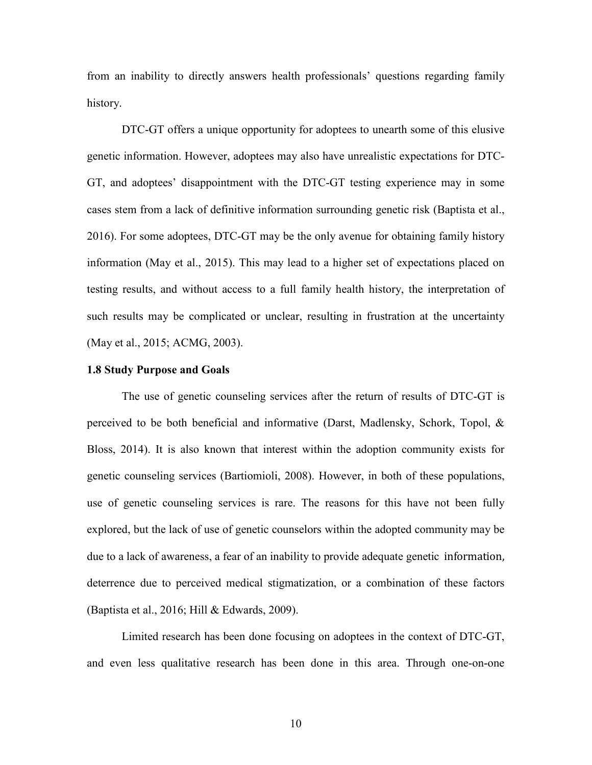from an inability to directly answers health professionals' questions regarding family history.

DTC-GT offers a unique opportunity for adoptees to unearth some of this elusive genetic information. However, adoptees may also have unrealistic expectations for DTC-GT, and adoptees' disappointment with the DTC-GT testing experience may in some cases stem from a lack of definitive information surrounding genetic risk (Baptista et al., 2016). For some adoptees, DTC-GT may be the only avenue for obtaining family history information (May et al., 2015). This may lead to a higher set of expectations placed on testing results, and without access to a full family health history, the interpretation of such results may be complicated or unclear, resulting in frustration at the uncertainty (May et al., 2015; ACMG, 2003).

#### **1.8 Study Purpose and Goals**

The use of genetic counseling services after the return of results of DTC-GT is perceived to be both beneficial and informative (Darst, Madlensky, Schork, Topol, & Bloss, 2014). It is also known that interest within the adoption community exists for genetic counseling services (Bartiomioli, 2008). However, in both of these populations, use of genetic counseling services is rare. The reasons for this have not been fully explored, but the lack of use of genetic counselors within the adopted community may be due to a lack of awareness, a fear of an inability to provide adequate genetic information, deterrence due to perceived medical stigmatization, or a combination of these factors (Baptista et al., 2016; Hill & Edwards, 2009).

Limited research has been done focusing on adoptees in the context of DTC-GT, and even less qualitative research has been done in this area. Through one-on-one

10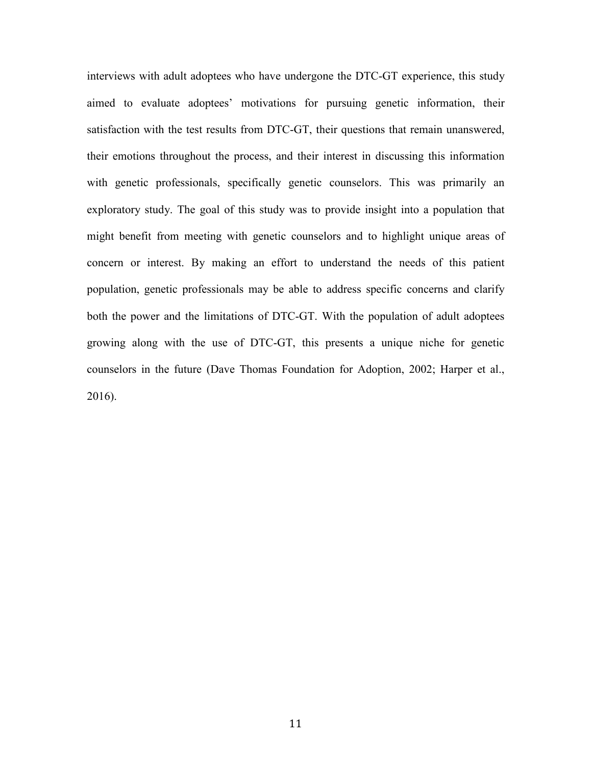interviews with adult adoptees who have undergone the DTC-GT experience, this study aimed to evaluate adoptees' motivations for pursuing genetic information, their satisfaction with the test results from DTC-GT, their questions that remain unanswered, their emotions throughout the process, and their interest in discussing this information with genetic professionals, specifically genetic counselors. This was primarily an exploratory study. The goal of this study was to provide insight into a population that might benefit from meeting with genetic counselors and to highlight unique areas of concern or interest. By making an effort to understand the needs of this patient population, genetic professionals may be able to address specific concerns and clarify both the power and the limitations of DTC-GT. With the population of adult adoptees growing along with the use of DTC-GT, this presents a unique niche for genetic counselors in the future (Dave Thomas Foundation for Adoption, 2002; Harper et al., 2016).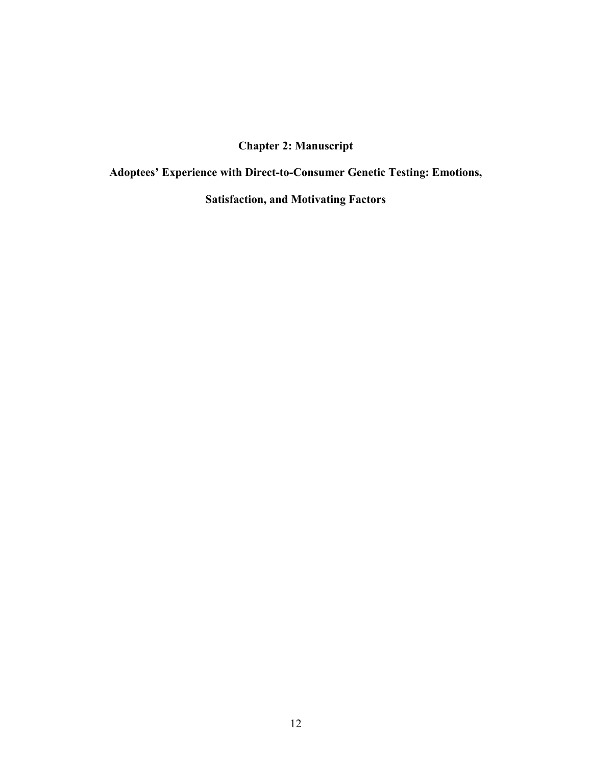# **Chapter 2: Manuscript**

**Adoptees' Experience with Direct-to-Consumer Genetic Testing: Emotions,** 

**Satisfaction, and Motivating Factors**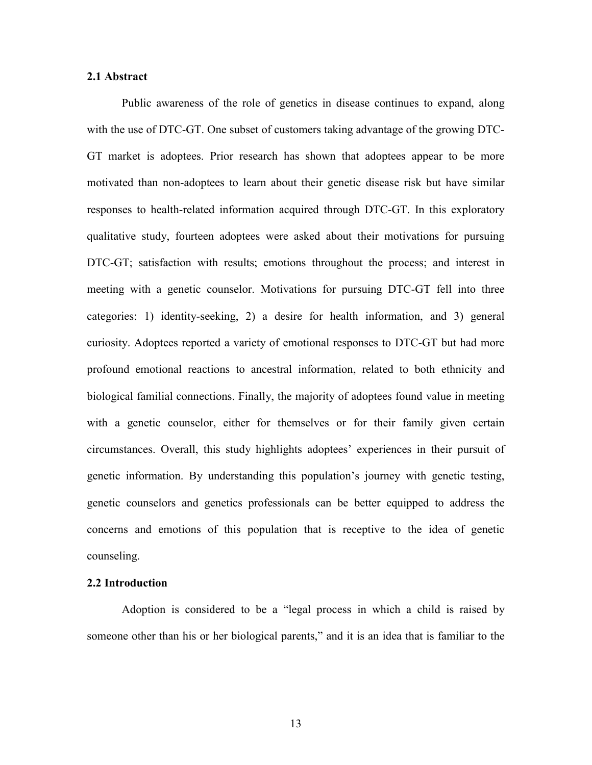#### **2.1 Abstract**

Public awareness of the role of genetics in disease continues to expand, along with the use of DTC-GT. One subset of customers taking advantage of the growing DTC-GT market is adoptees. Prior research has shown that adoptees appear to be more motivated than non-adoptees to learn about their genetic disease risk but have similar responses to health-related information acquired through DTC-GT. In this exploratory qualitative study, fourteen adoptees were asked about their motivations for pursuing DTC-GT; satisfaction with results; emotions throughout the process; and interest in meeting with a genetic counselor. Motivations for pursuing DTC-GT fell into three categories: 1) identity-seeking, 2) a desire for health information, and 3) general curiosity. Adoptees reported a variety of emotional responses to DTC-GT but had more profound emotional reactions to ancestral information, related to both ethnicity and biological familial connections. Finally, the majority of adoptees found value in meeting with a genetic counselor, either for themselves or for their family given certain circumstances. Overall, this study highlights adoptees' experiences in their pursuit of genetic information. By understanding this population's journey with genetic testing, genetic counselors and genetics professionals can be better equipped to address the concerns and emotions of this population that is receptive to the idea of genetic counseling.

#### **2.2 Introduction**

Adoption is considered to be a "legal process in which a child is raised by someone other than his or her biological parents," and it is an idea that is familiar to the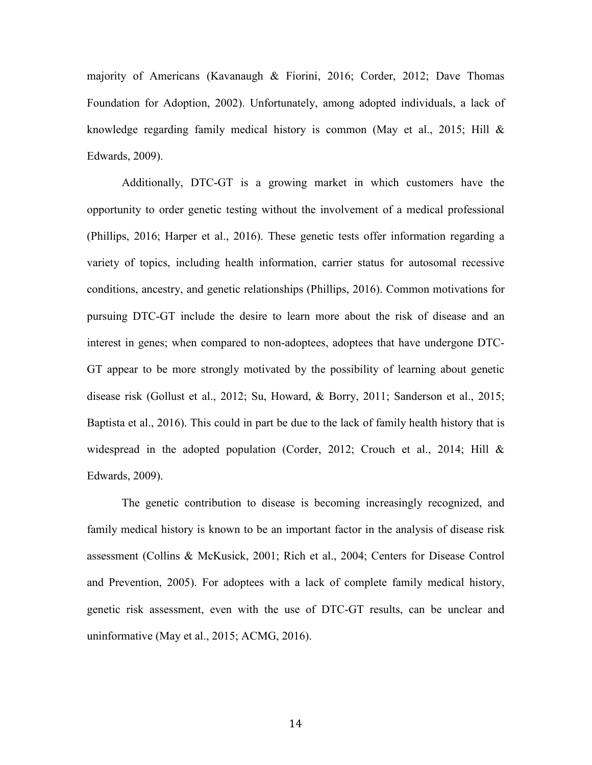majority of Americans (Kavanaugh & Fiorini, 2016; Corder, 2012; Dave Thomas Foundation for Adoption, 2002). Unfortunately, among adopted individuals, a lack of knowledge regarding family medical history is common (May et al., 2015; Hill & Edwards, 2009).

Additionally, DTC-GT is a growing market in which customers have the opportunity to order genetic testing without the involvement of a medical professional (Phillips, 2016; Harper et al., 2016). These genetic tests offer information regarding a variety of topics, including health information, carrier status for autosomal recessive conditions, ancestry, and genetic relationships (Phillips, 2016). Common motivations for pursuing DTC-GT include the desire to learn more about the risk of disease and an interest in genes; when compared to non-adoptees, adoptees that have undergone DTC-GT appear to be more strongly motivated by the possibility of learning about genetic disease risk (Gollust et al., 2012; Su, Howard, & Borry, 2011; Sanderson et al., 2015; Baptista et al., 2016). This could in part be due to the lack of family health history that is widespread in the adopted population (Corder, 2012; Crouch et al., 2014; Hill & Edwards, 2009).

The genetic contribution to disease is becoming increasingly recognized, and family medical history is known to be an important factor in the analysis of disease risk assessment (Collins & McKusick, 2001; Rich et al., 2004; Centers for Disease Control and Prevention, 2005). For adoptees with a lack of complete family medical history, genetic risk assessment, even with the use of DTC-GT results, can be unclear and uninformative (May et al., 2015; ACMG, 2016).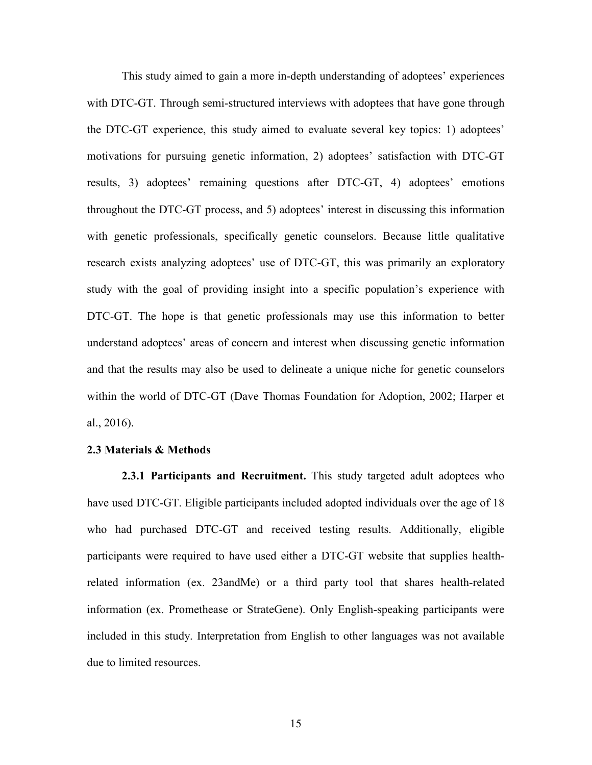This study aimed to gain a more in-depth understanding of adoptees' experiences with DTC-GT. Through semi-structured interviews with adoptees that have gone through the DTC-GT experience, this study aimed to evaluate several key topics: 1) adoptees' motivations for pursuing genetic information, 2) adoptees' satisfaction with DTC-GT results, 3) adoptees' remaining questions after DTC-GT, 4) adoptees' emotions throughout the DTC-GT process, and 5) adoptees' interest in discussing this information with genetic professionals, specifically genetic counselors. Because little qualitative research exists analyzing adoptees' use of DTC-GT, this was primarily an exploratory study with the goal of providing insight into a specific population's experience with DTC-GT. The hope is that genetic professionals may use this information to better understand adoptees' areas of concern and interest when discussing genetic information and that the results may also be used to delineate a unique niche for genetic counselors within the world of DTC-GT (Dave Thomas Foundation for Adoption, 2002; Harper et al., 2016).

#### **2.3 Materials & Methods**

**2.3.1 Participants and Recruitment.** This study targeted adult adoptees who have used DTC-GT. Eligible participants included adopted individuals over the age of 18 who had purchased DTC-GT and received testing results. Additionally, eligible participants were required to have used either a DTC-GT website that supplies healthrelated information (ex. 23andMe) or a third party tool that shares health-related information (ex. Promethease or StrateGene). Only English-speaking participants were included in this study. Interpretation from English to other languages was not available due to limited resources.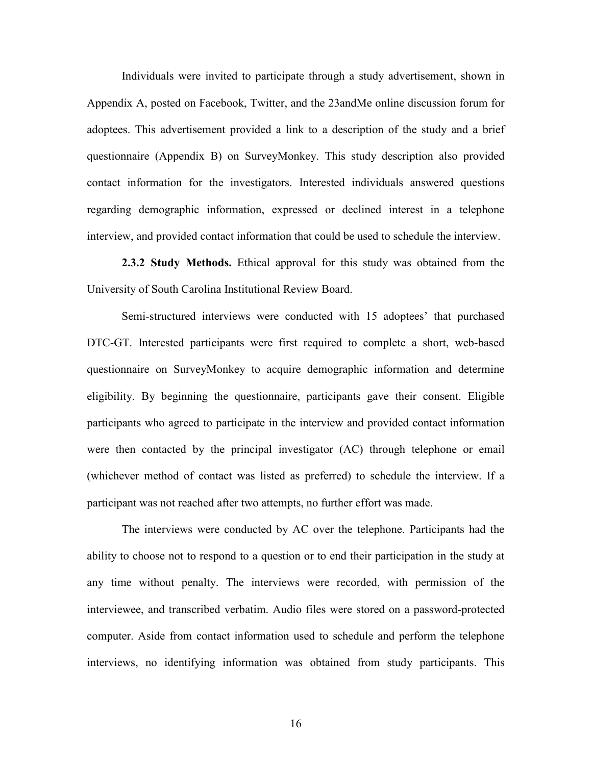Individuals were invited to participate through a study advertisement, shown in Appendix A, posted on Facebook, Twitter, and the 23andMe online discussion forum for adoptees. This advertisement provided a link to a description of the study and a brief questionnaire (Appendix B) on SurveyMonkey. This study description also provided contact information for the investigators. Interested individuals answered questions regarding demographic information, expressed or declined interest in a telephone interview, and provided contact information that could be used to schedule the interview.

**2.3.2 Study Methods.** Ethical approval for this study was obtained from the University of South Carolina Institutional Review Board.

Semi-structured interviews were conducted with 15 adoptees' that purchased DTC-GT. Interested participants were first required to complete a short, web-based questionnaire on SurveyMonkey to acquire demographic information and determine eligibility. By beginning the questionnaire, participants gave their consent. Eligible participants who agreed to participate in the interview and provided contact information were then contacted by the principal investigator (AC) through telephone or email (whichever method of contact was listed as preferred) to schedule the interview. If a participant was not reached after two attempts, no further effort was made.

The interviews were conducted by AC over the telephone. Participants had the ability to choose not to respond to a question or to end their participation in the study at any time without penalty. The interviews were recorded, with permission of the interviewee, and transcribed verbatim. Audio files were stored on a password-protected computer. Aside from contact information used to schedule and perform the telephone interviews, no identifying information was obtained from study participants. This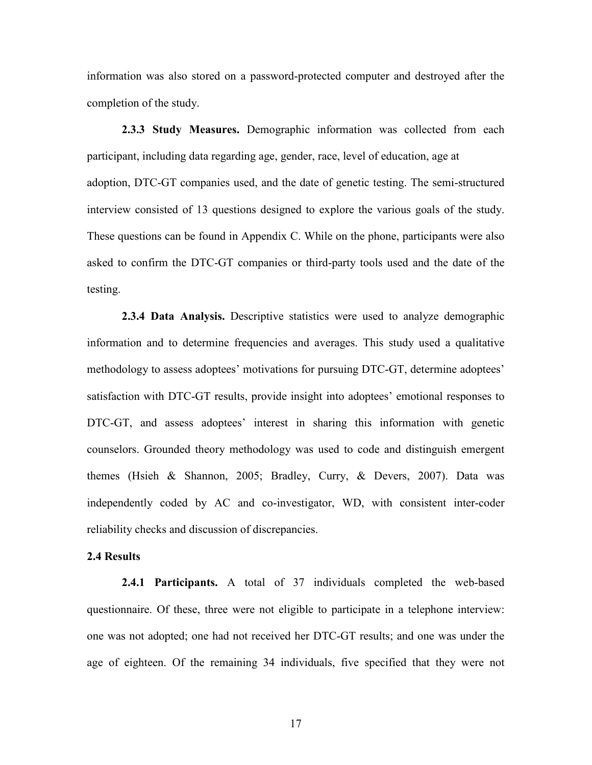information was also stored on a password-protected computer and destroyed after the completion of the study.

**2.3.3 Study Measures.** Demographic information was collected from each participant, including data regarding age, gender, race, level of education, age at adoption, DTC-GT companies used, and the date of genetic testing. The semi-structured interview consisted of 13 questions designed to explore the various goals of the study. These questions can be found in Appendix C. While on the phone, participants were also asked to confirm the DTC-GT companies or third-party tools used and the date of the testing.

**2.3.4 Data Analysis.** Descriptive statistics were used to analyze demographic information and to determine frequencies and averages. This study used a qualitative methodology to assess adoptees' motivations for pursuing DTC-GT, determine adoptees' satisfaction with DTC-GT results, provide insight into adoptees' emotional responses to DTC-GT, and assess adoptees' interest in sharing this information with genetic counselors. Grounded theory methodology was used to code and distinguish emergent themes (Hsieh & Shannon, 2005; Bradley, Curry, & Devers, 2007). Data was independently coded by AC and co-investigator, WD, with consistent inter-coder reliability checks and discussion of discrepancies.

#### **2.4 Results**

**2.4.1 Participants.** A total of 37 individuals completed the web-based questionnaire. Of these, three were not eligible to participate in a telephone interview: one was not adopted; one had not received her DTC-GT results; and one was under the age of eighteen. Of the remaining 34 individuals, five specified that they were not

17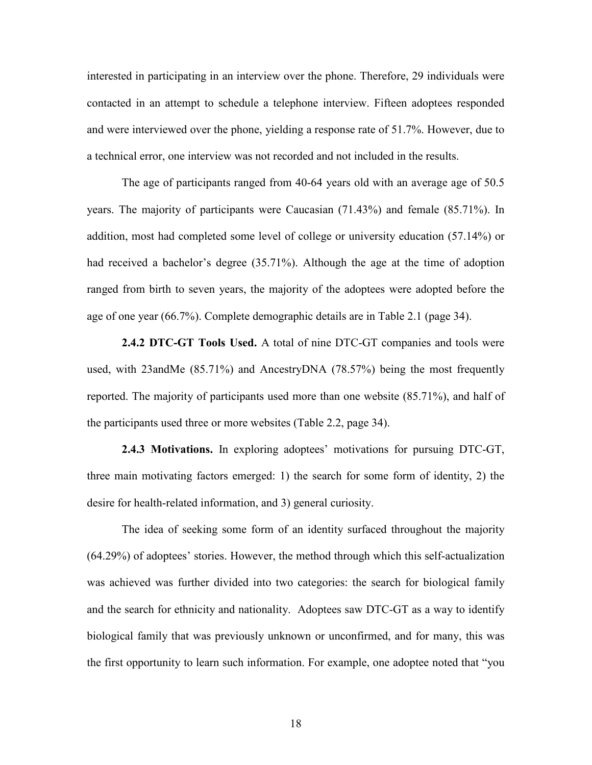interested in participating in an interview over the phone. Therefore, 29 individuals were contacted in an attempt to schedule a telephone interview. Fifteen adoptees responded and were interviewed over the phone, yielding a response rate of 51.7%. However, due to a technical error, one interview was not recorded and not included in the results.

 The age of participants ranged from 40-64 years old with an average age of 50.5 years. The majority of participants were Caucasian (71.43%) and female (85.71%). In addition, most had completed some level of college or university education (57.14%) or had received a bachelor's degree (35.71%). Although the age at the time of adoption ranged from birth to seven years, the majority of the adoptees were adopted before the age of one year (66.7%). Complete demographic details are in Table 2.1 (page 34).

**2.4.2 DTC-GT Tools Used.** A total of nine DTC-GT companies and tools were used, with 23andMe (85.71%) and AncestryDNA (78.57%) being the most frequently reported. The majority of participants used more than one website (85.71%), and half of the participants used three or more websites (Table 2.2, page 34).

**2.4.3 Motivations.** In exploring adoptees' motivations for pursuing DTC-GT, three main motivating factors emerged: 1) the search for some form of identity, 2) the desire for health-related information, and 3) general curiosity.

The idea of seeking some form of an identity surfaced throughout the majority (64.29%) of adoptees' stories. However, the method through which this self-actualization was achieved was further divided into two categories: the search for biological family and the search for ethnicity and nationality. Adoptees saw DTC-GT as a way to identify biological family that was previously unknown or unconfirmed, and for many, this was the first opportunity to learn such information. For example, one adoptee noted that "you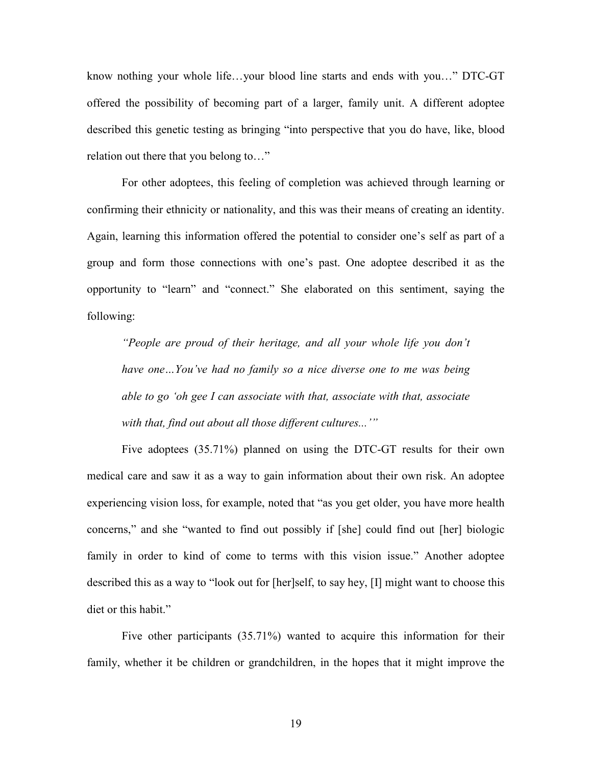know nothing your whole life…your blood line starts and ends with you…" DTC-GT offered the possibility of becoming part of a larger, family unit. A different adoptee described this genetic testing as bringing "into perspective that you do have, like, blood relation out there that you belong to…"

 For other adoptees, this feeling of completion was achieved through learning or confirming their ethnicity or nationality, and this was their means of creating an identity. Again, learning this information offered the potential to consider one's self as part of a group and form those connections with one's past. One adoptee described it as the opportunity to "learn" and "connect." She elaborated on this sentiment, saying the following:

*"People are proud of their heritage, and all your whole life you don't have one…You've had no family so a nice diverse one to me was being able to go 'oh gee I can associate with that, associate with that, associate with that, find out about all those different cultures...'"* 

Five adoptees (35.71%) planned on using the DTC-GT results for their own medical care and saw it as a way to gain information about their own risk. An adoptee experiencing vision loss, for example, noted that "as you get older, you have more health concerns," and she "wanted to find out possibly if [she] could find out [her] biologic family in order to kind of come to terms with this vision issue." Another adoptee described this as a way to "look out for [her]self, to say hey, [I] might want to choose this diet or this habit."

Five other participants (35.71%) wanted to acquire this information for their family, whether it be children or grandchildren, in the hopes that it might improve the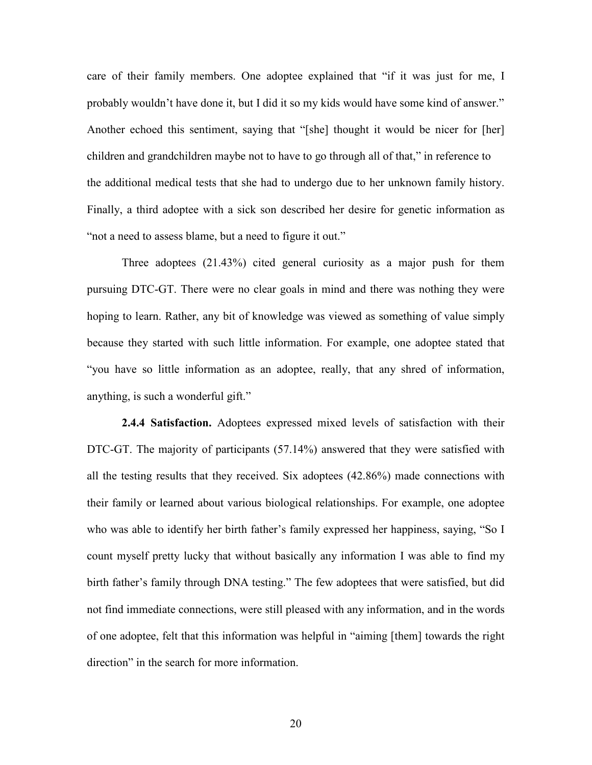care of their family members. One adoptee explained that "if it was just for me, I probably wouldn't have done it, but I did it so my kids would have some kind of answer." Another echoed this sentiment, saying that "[she] thought it would be nicer for [her] children and grandchildren maybe not to have to go through all of that," in reference to the additional medical tests that she had to undergo due to her unknown family history. Finally, a third adoptee with a sick son described her desire for genetic information as "not a need to assess blame, but a need to figure it out."

Three adoptees (21.43%) cited general curiosity as a major push for them pursuing DTC-GT. There were no clear goals in mind and there was nothing they were hoping to learn. Rather, any bit of knowledge was viewed as something of value simply because they started with such little information. For example, one adoptee stated that "you have so little information as an adoptee, really, that any shred of information, anything, is such a wonderful gift."

 **2.4.4 Satisfaction.** Adoptees expressed mixed levels of satisfaction with their DTC-GT. The majority of participants (57.14%) answered that they were satisfied with all the testing results that they received. Six adoptees (42.86%) made connections with their family or learned about various biological relationships. For example, one adoptee who was able to identify her birth father's family expressed her happiness, saying, "So I count myself pretty lucky that without basically any information I was able to find my birth father's family through DNA testing." The few adoptees that were satisfied, but did not find immediate connections, were still pleased with any information, and in the words of one adoptee, felt that this information was helpful in "aiming [them] towards the right direction" in the search for more information.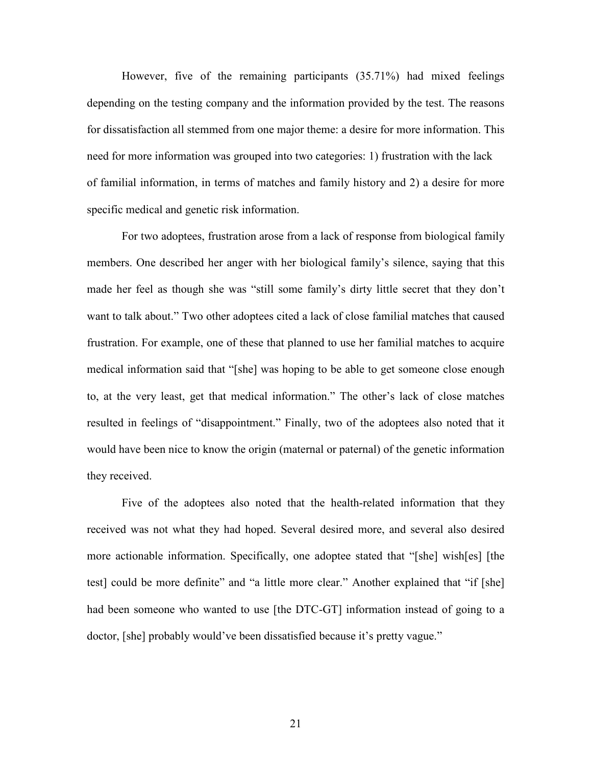However, five of the remaining participants (35.71%) had mixed feelings depending on the testing company and the information provided by the test. The reasons for dissatisfaction all stemmed from one major theme: a desire for more information. This need for more information was grouped into two categories: 1) frustration with the lack of familial information, in terms of matches and family history and 2) a desire for more specific medical and genetic risk information.

For two adoptees, frustration arose from a lack of response from biological family members. One described her anger with her biological family's silence, saying that this made her feel as though she was "still some family's dirty little secret that they don't want to talk about." Two other adoptees cited a lack of close familial matches that caused frustration. For example, one of these that planned to use her familial matches to acquire medical information said that "[she] was hoping to be able to get someone close enough to, at the very least, get that medical information." The other's lack of close matches resulted in feelings of "disappointment." Finally, two of the adoptees also noted that it would have been nice to know the origin (maternal or paternal) of the genetic information they received.

 Five of the adoptees also noted that the health-related information that they received was not what they had hoped. Several desired more, and several also desired more actionable information. Specifically, one adoptee stated that "[she] wish[es] [the test] could be more definite" and "a little more clear." Another explained that "if [she] had been someone who wanted to use [the DTC-GT] information instead of going to a doctor, [she] probably would've been dissatisfied because it's pretty vague."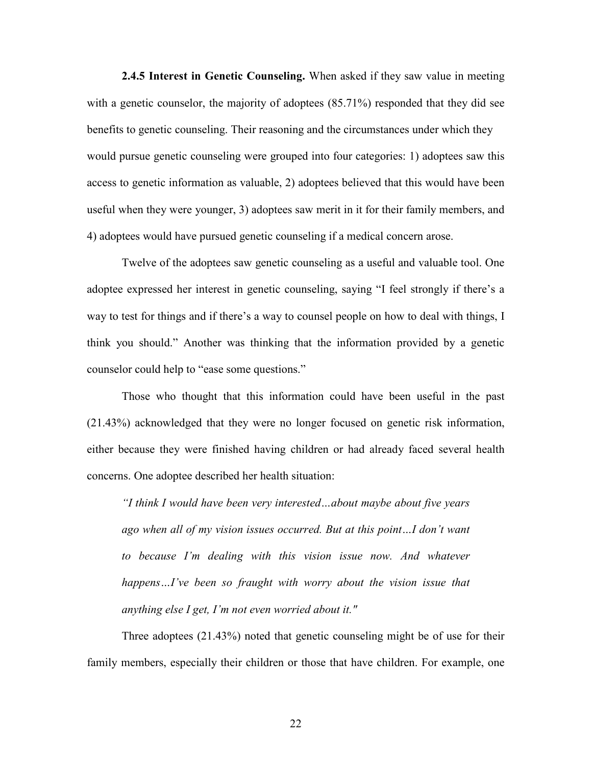**2.4.5 Interest in Genetic Counseling.** When asked if they saw value in meeting with a genetic counselor, the majority of adoptees (85.71%) responded that they did see benefits to genetic counseling. Their reasoning and the circumstances under which they would pursue genetic counseling were grouped into four categories: 1) adoptees saw this access to genetic information as valuable, 2) adoptees believed that this would have been useful when they were younger, 3) adoptees saw merit in it for their family members, and 4) adoptees would have pursued genetic counseling if a medical concern arose.

 Twelve of the adoptees saw genetic counseling as a useful and valuable tool. One adoptee expressed her interest in genetic counseling, saying "I feel strongly if there's a way to test for things and if there's a way to counsel people on how to deal with things, I think you should." Another was thinking that the information provided by a genetic counselor could help to "ease some questions."

Those who thought that this information could have been useful in the past (21.43%) acknowledged that they were no longer focused on genetic risk information, either because they were finished having children or had already faced several health concerns. One adoptee described her health situation:

*"I think I would have been very interested…about maybe about five years ago when all of my vision issues occurred. But at this point…I don't want to because I'm dealing with this vision issue now. And whatever happens…I've been so fraught with worry about the vision issue that anything else I get, I'm not even worried about it."* 

Three adoptees (21.43%) noted that genetic counseling might be of use for their family members, especially their children or those that have children. For example, one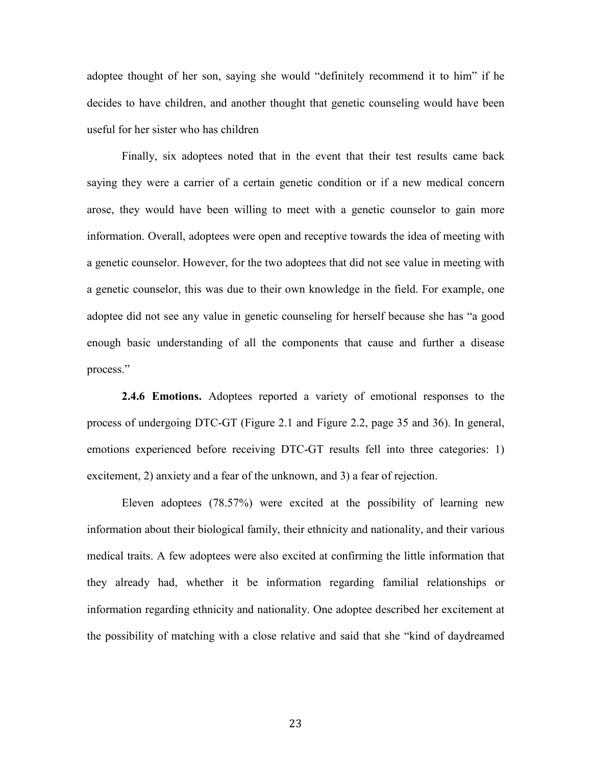adoptee thought of her son, saying she would "definitely recommend it to him" if he decides to have children, and another thought that genetic counseling would have been useful for her sister who has children

Finally, six adoptees noted that in the event that their test results came back saying they were a carrier of a certain genetic condition or if a new medical concern arose, they would have been willing to meet with a genetic counselor to gain more information. Overall, adoptees were open and receptive towards the idea of meeting with a genetic counselor. However, for the two adoptees that did not see value in meeting with a genetic counselor, this was due to their own knowledge in the field. For example, one adoptee did not see any value in genetic counseling for herself because she has "a good enough basic understanding of all the components that cause and further a disease process."

**2.4.6 Emotions.** Adoptees reported a variety of emotional responses to the process of undergoing DTC-GT (Figure 2.1 and Figure 2.2, page 35 and 36). In general, emotions experienced before receiving DTC-GT results fell into three categories: 1) excitement, 2) anxiety and a fear of the unknown, and 3) a fear of rejection.

Eleven adoptees (78.57%) were excited at the possibility of learning new information about their biological family, their ethnicity and nationality, and their various medical traits. A few adoptees were also excited at confirming the little information that they already had, whether it be information regarding familial relationships or information regarding ethnicity and nationality. One adoptee described her excitement at the possibility of matching with a close relative and said that she "kind of daydreamed

23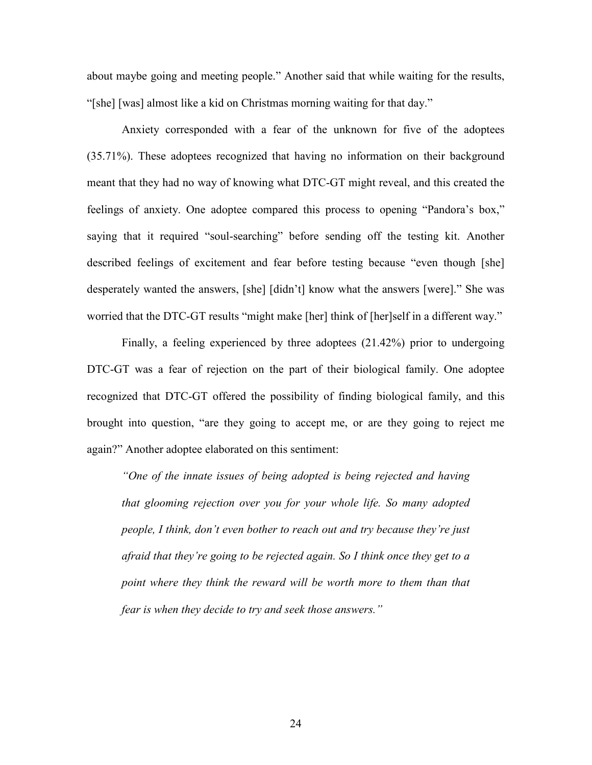about maybe going and meeting people." Another said that while waiting for the results, "[she] [was] almost like a kid on Christmas morning waiting for that day."

Anxiety corresponded with a fear of the unknown for five of the adoptees (35.71%). These adoptees recognized that having no information on their background meant that they had no way of knowing what DTC-GT might reveal, and this created the feelings of anxiety. One adoptee compared this process to opening "Pandora's box," saying that it required "soul-searching" before sending off the testing kit. Another described feelings of excitement and fear before testing because "even though [she] desperately wanted the answers, [she] [didn't] know what the answers [were]." She was worried that the DTC-GT results "might make [her] think of [her]self in a different way."

Finally, a feeling experienced by three adoptees (21.42%) prior to undergoing DTC-GT was a fear of rejection on the part of their biological family. One adoptee recognized that DTC-GT offered the possibility of finding biological family, and this brought into question, "are they going to accept me, or are they going to reject me again?" Another adoptee elaborated on this sentiment:

*"One of the innate issues of being adopted is being rejected and having that glooming rejection over you for your whole life. So many adopted people, I think, don't even bother to reach out and try because they're just afraid that they're going to be rejected again. So I think once they get to a point where they think the reward will be worth more to them than that fear is when they decide to try and seek those answers."* 

24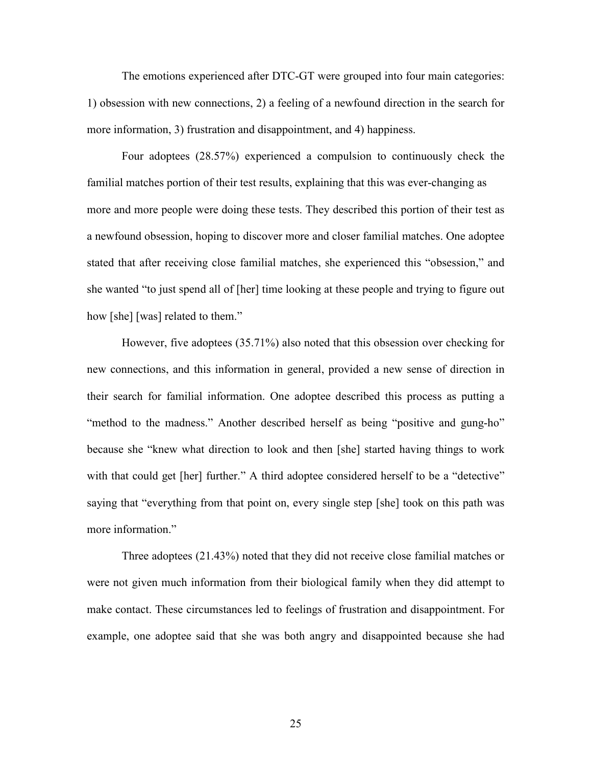The emotions experienced after DTC-GT were grouped into four main categories: 1) obsession with new connections, 2) a feeling of a newfound direction in the search for more information, 3) frustration and disappointment, and 4) happiness.

Four adoptees (28.57%) experienced a compulsion to continuously check the familial matches portion of their test results, explaining that this was ever-changing as more and more people were doing these tests. They described this portion of their test as a newfound obsession, hoping to discover more and closer familial matches. One adoptee stated that after receiving close familial matches, she experienced this "obsession," and she wanted "to just spend all of [her] time looking at these people and trying to figure out how [she] [was] related to them."

However, five adoptees (35.71%) also noted that this obsession over checking for new connections, and this information in general, provided a new sense of direction in their search for familial information. One adoptee described this process as putting a "method to the madness." Another described herself as being "positive and gung-ho" because she "knew what direction to look and then [she] started having things to work with that could get [her] further." A third adoptee considered herself to be a "detective" saying that "everything from that point on, every single step [she] took on this path was more information."

Three adoptees (21.43%) noted that they did not receive close familial matches or were not given much information from their biological family when they did attempt to make contact. These circumstances led to feelings of frustration and disappointment. For example, one adoptee said that she was both angry and disappointed because she had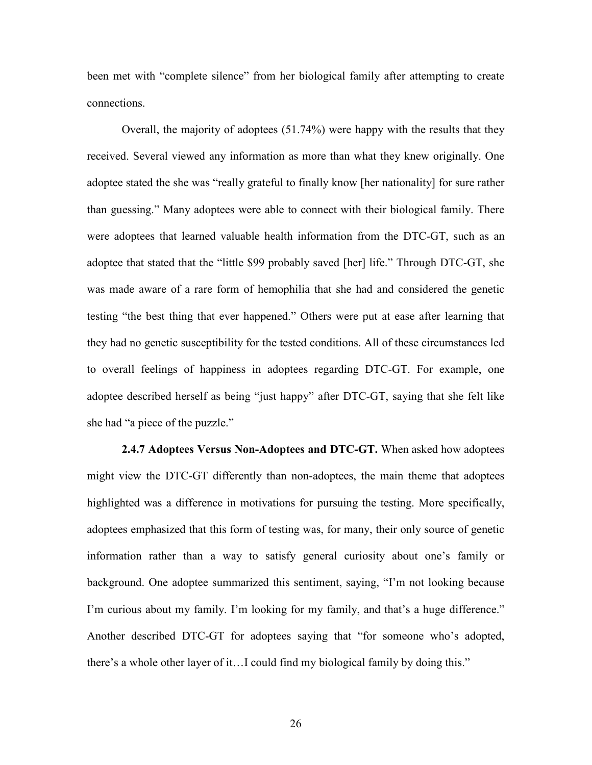been met with "complete silence" from her biological family after attempting to create connections.

 Overall, the majority of adoptees (51.74%) were happy with the results that they received. Several viewed any information as more than what they knew originally. One adoptee stated the she was "really grateful to finally know [her nationality] for sure rather than guessing." Many adoptees were able to connect with their biological family. There were adoptees that learned valuable health information from the DTC-GT, such as an adoptee that stated that the "little \$99 probably saved [her] life." Through DTC-GT, she was made aware of a rare form of hemophilia that she had and considered the genetic testing "the best thing that ever happened." Others were put at ease after learning that they had no genetic susceptibility for the tested conditions. All of these circumstances led to overall feelings of happiness in adoptees regarding DTC-GT. For example, one adoptee described herself as being "just happy" after DTC-GT, saying that she felt like she had "a piece of the puzzle."

**2.4.7 Adoptees Versus Non-Adoptees and DTC-GT.** When asked how adoptees might view the DTC-GT differently than non-adoptees, the main theme that adoptees highlighted was a difference in motivations for pursuing the testing. More specifically, adoptees emphasized that this form of testing was, for many, their only source of genetic information rather than a way to satisfy general curiosity about one's family or background. One adoptee summarized this sentiment, saying, "I'm not looking because I'm curious about my family. I'm looking for my family, and that's a huge difference." Another described DTC-GT for adoptees saying that "for someone who's adopted, there's a whole other layer of it…I could find my biological family by doing this."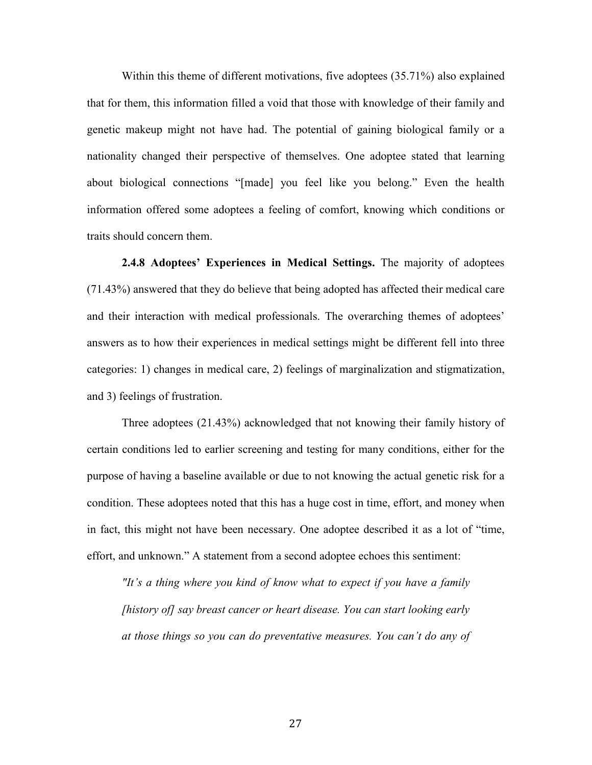Within this theme of different motivations, five adoptees (35.71%) also explained that for them, this information filled a void that those with knowledge of their family and genetic makeup might not have had. The potential of gaining biological family or a nationality changed their perspective of themselves. One adoptee stated that learning about biological connections "[made] you feel like you belong." Even the health information offered some adoptees a feeling of comfort, knowing which conditions or traits should concern them.

**2.4.8 Adoptees' Experiences in Medical Settings.** The majority of adoptees (71.43%) answered that they do believe that being adopted has affected their medical care and their interaction with medical professionals. The overarching themes of adoptees' answers as to how their experiences in medical settings might be different fell into three categories: 1) changes in medical care, 2) feelings of marginalization and stigmatization, and 3) feelings of frustration.

 Three adoptees (21.43%) acknowledged that not knowing their family history of certain conditions led to earlier screening and testing for many conditions, either for the purpose of having a baseline available or due to not knowing the actual genetic risk for a condition. These adoptees noted that this has a huge cost in time, effort, and money when in fact, this might not have been necessary. One adoptee described it as a lot of "time, effort, and unknown." A statement from a second adoptee echoes this sentiment:

*"It's a thing where you kind of know what to expect if you have a family [history of] say breast cancer or heart disease. You can start looking early at those things so you can do preventative measures. You can't do any of*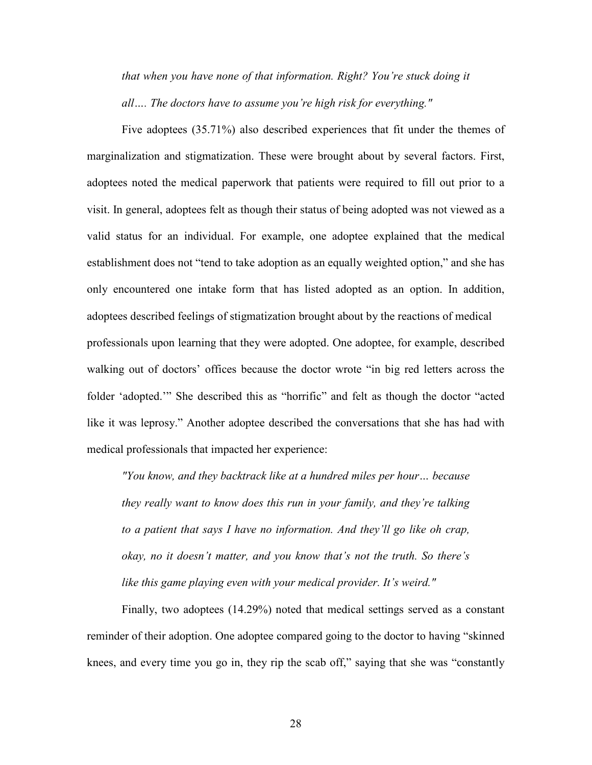*that when you have none of that information. Right? You're stuck doing it all…. The doctors have to assume you're high risk for everything."* 

Five adoptees (35.71%) also described experiences that fit under the themes of marginalization and stigmatization. These were brought about by several factors. First, adoptees noted the medical paperwork that patients were required to fill out prior to a visit. In general, adoptees felt as though their status of being adopted was not viewed as a valid status for an individual. For example, one adoptee explained that the medical establishment does not "tend to take adoption as an equally weighted option," and she has only encountered one intake form that has listed adopted as an option. In addition, adoptees described feelings of stigmatization brought about by the reactions of medical professionals upon learning that they were adopted. One adoptee, for example, described walking out of doctors' offices because the doctor wrote "in big red letters across the folder 'adopted.'" She described this as "horrific" and felt as though the doctor "acted like it was leprosy." Another adoptee described the conversations that she has had with medical professionals that impacted her experience:

*"You know, and they backtrack like at a hundred miles per hour… because they really want to know does this run in your family, and they're talking to a patient that says I have no information. And they'll go like oh crap, okay, no it doesn't matter, and you know that's not the truth. So there's like this game playing even with your medical provider. It's weird."* 

 Finally, two adoptees (14.29%) noted that medical settings served as a constant reminder of their adoption. One adoptee compared going to the doctor to having "skinned knees, and every time you go in, they rip the scab off," saying that she was "constantly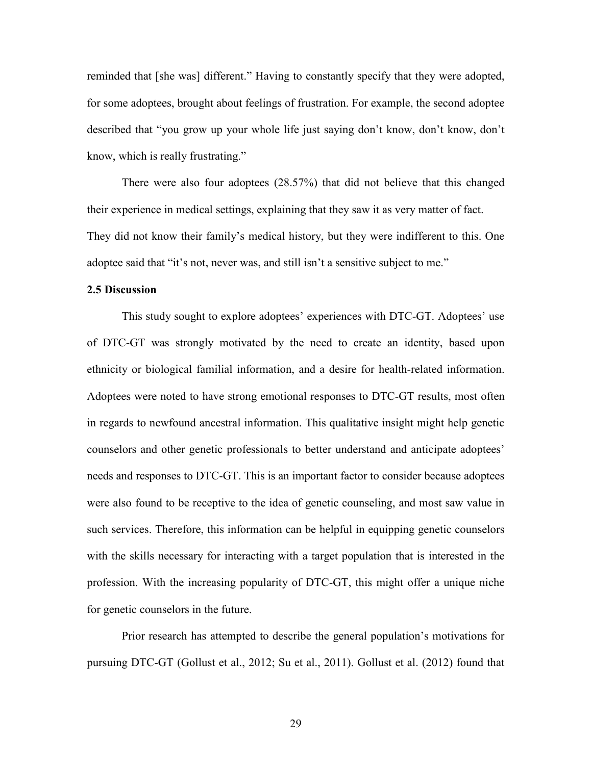reminded that [she was] different." Having to constantly specify that they were adopted, for some adoptees, brought about feelings of frustration. For example, the second adoptee described that "you grow up your whole life just saying don't know, don't know, don't know, which is really frustrating."

 There were also four adoptees (28.57%) that did not believe that this changed their experience in medical settings, explaining that they saw it as very matter of fact. They did not know their family's medical history, but they were indifferent to this. One adoptee said that "it's not, never was, and still isn't a sensitive subject to me."

#### **2.5 Discussion**

This study sought to explore adoptees' experiences with DTC-GT. Adoptees' use of DTC-GT was strongly motivated by the need to create an identity, based upon ethnicity or biological familial information, and a desire for health-related information. Adoptees were noted to have strong emotional responses to DTC-GT results, most often in regards to newfound ancestral information. This qualitative insight might help genetic counselors and other genetic professionals to better understand and anticipate adoptees' needs and responses to DTC-GT. This is an important factor to consider because adoptees were also found to be receptive to the idea of genetic counseling, and most saw value in such services. Therefore, this information can be helpful in equipping genetic counselors with the skills necessary for interacting with a target population that is interested in the profession. With the increasing popularity of DTC-GT, this might offer a unique niche for genetic counselors in the future.

 Prior research has attempted to describe the general population's motivations for pursuing DTC-GT (Gollust et al., 2012; Su et al., 2011). Gollust et al. (2012) found that

29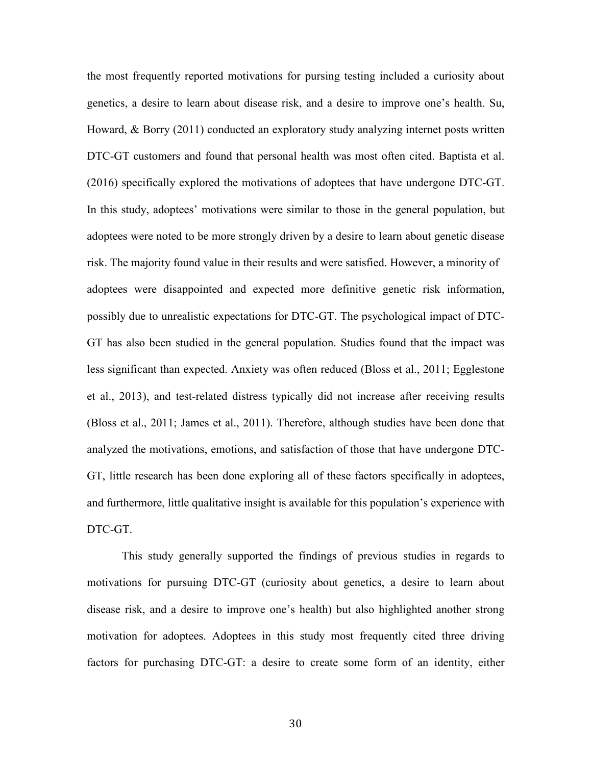the most frequently reported motivations for pursing testing included a curiosity about genetics, a desire to learn about disease risk, and a desire to improve one's health. Su, Howard, & Borry (2011) conducted an exploratory study analyzing internet posts written DTC-GT customers and found that personal health was most often cited. Baptista et al. (2016) specifically explored the motivations of adoptees that have undergone DTC-GT. In this study, adoptees' motivations were similar to those in the general population, but adoptees were noted to be more strongly driven by a desire to learn about genetic disease risk. The majority found value in their results and were satisfied. However, a minority of adoptees were disappointed and expected more definitive genetic risk information, possibly due to unrealistic expectations for DTC-GT. The psychological impact of DTC-GT has also been studied in the general population. Studies found that the impact was less significant than expected. Anxiety was often reduced (Bloss et al., 2011; Egglestone et al., 2013), and test-related distress typically did not increase after receiving results (Bloss et al., 2011; James et al., 2011). Therefore, although studies have been done that analyzed the motivations, emotions, and satisfaction of those that have undergone DTC-GT, little research has been done exploring all of these factors specifically in adoptees, and furthermore, little qualitative insight is available for this population's experience with DTC-GT.

 This study generally supported the findings of previous studies in regards to motivations for pursuing DTC-GT (curiosity about genetics, a desire to learn about disease risk, and a desire to improve one's health) but also highlighted another strong motivation for adoptees. Adoptees in this study most frequently cited three driving factors for purchasing DTC-GT: a desire to create some form of an identity, either

30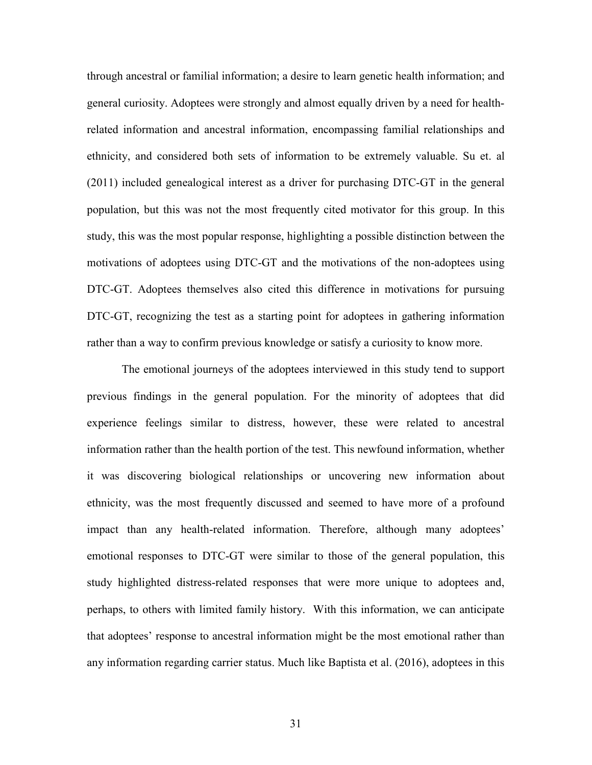through ancestral or familial information; a desire to learn genetic health information; and general curiosity. Adoptees were strongly and almost equally driven by a need for healthrelated information and ancestral information, encompassing familial relationships and ethnicity, and considered both sets of information to be extremely valuable. Su et. al (2011) included genealogical interest as a driver for purchasing DTC-GT in the general population, but this was not the most frequently cited motivator for this group. In this study, this was the most popular response, highlighting a possible distinction between the motivations of adoptees using DTC-GT and the motivations of the non-adoptees using DTC-GT. Adoptees themselves also cited this difference in motivations for pursuing DTC-GT, recognizing the test as a starting point for adoptees in gathering information rather than a way to confirm previous knowledge or satisfy a curiosity to know more.

The emotional journeys of the adoptees interviewed in this study tend to support previous findings in the general population. For the minority of adoptees that did experience feelings similar to distress, however, these were related to ancestral information rather than the health portion of the test. This newfound information, whether it was discovering biological relationships or uncovering new information about ethnicity, was the most frequently discussed and seemed to have more of a profound impact than any health-related information. Therefore, although many adoptees' emotional responses to DTC-GT were similar to those of the general population, this study highlighted distress-related responses that were more unique to adoptees and, perhaps, to others with limited family history. With this information, we can anticipate that adoptees' response to ancestral information might be the most emotional rather than any information regarding carrier status. Much like Baptista et al. (2016), adoptees in this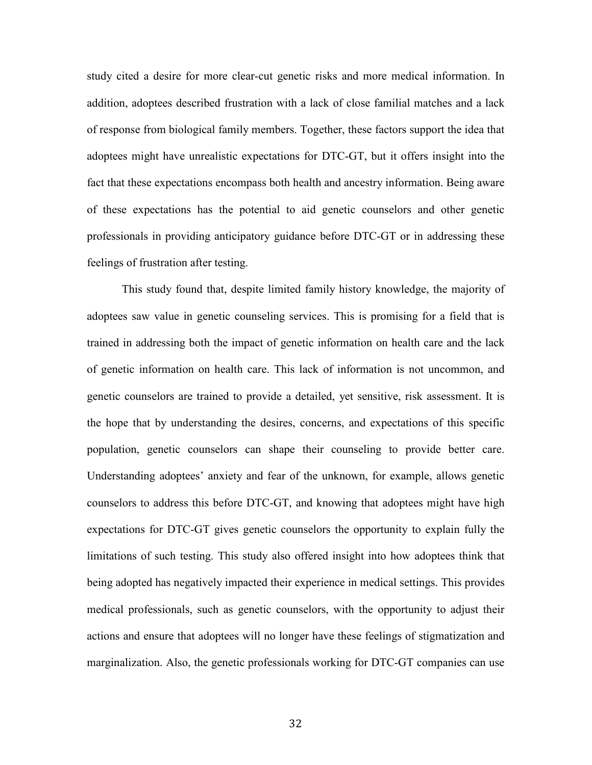study cited a desire for more clear-cut genetic risks and more medical information. In addition, adoptees described frustration with a lack of close familial matches and a lack of response from biological family members. Together, these factors support the idea that adoptees might have unrealistic expectations for DTC-GT, but it offers insight into the fact that these expectations encompass both health and ancestry information. Being aware of these expectations has the potential to aid genetic counselors and other genetic professionals in providing anticipatory guidance before DTC-GT or in addressing these feelings of frustration after testing.

This study found that, despite limited family history knowledge, the majority of adoptees saw value in genetic counseling services. This is promising for a field that is trained in addressing both the impact of genetic information on health care and the lack of genetic information on health care. This lack of information is not uncommon, and genetic counselors are trained to provide a detailed, yet sensitive, risk assessment. It is the hope that by understanding the desires, concerns, and expectations of this specific population, genetic counselors can shape their counseling to provide better care. Understanding adoptees' anxiety and fear of the unknown, for example, allows genetic counselors to address this before DTC-GT, and knowing that adoptees might have high expectations for DTC-GT gives genetic counselors the opportunity to explain fully the limitations of such testing. This study also offered insight into how adoptees think that being adopted has negatively impacted their experience in medical settings. This provides medical professionals, such as genetic counselors, with the opportunity to adjust their actions and ensure that adoptees will no longer have these feelings of stigmatization and marginalization. Also, the genetic professionals working for DTC-GT companies can use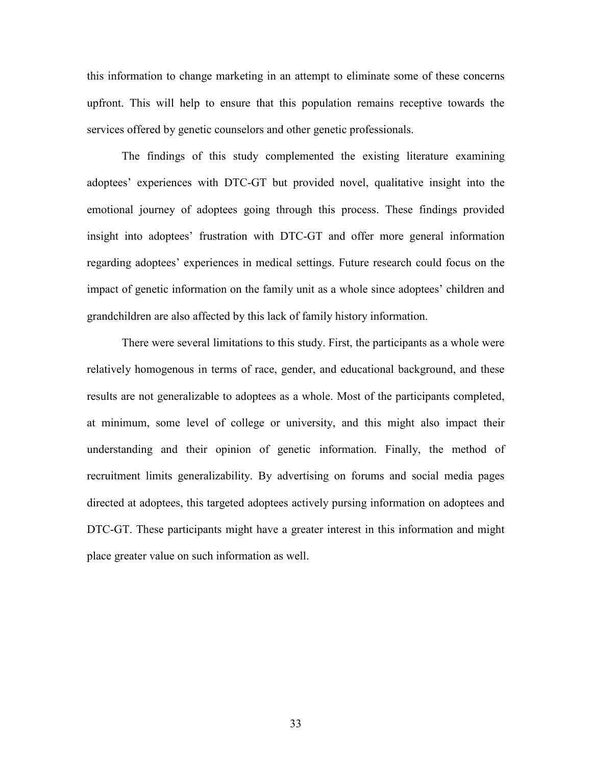this information to change marketing in an attempt to eliminate some of these concerns upfront. This will help to ensure that this population remains receptive towards the services offered by genetic counselors and other genetic professionals.

 The findings of this study complemented the existing literature examining adoptees' experiences with DTC-GT but provided novel, qualitative insight into the emotional journey of adoptees going through this process. These findings provided insight into adoptees' frustration with DTC-GT and offer more general information regarding adoptees' experiences in medical settings. Future research could focus on the impact of genetic information on the family unit as a whole since adoptees' children and grandchildren are also affected by this lack of family history information.

 There were several limitations to this study. First, the participants as a whole were relatively homogenous in terms of race, gender, and educational background, and these results are not generalizable to adoptees as a whole. Most of the participants completed, at minimum, some level of college or university, and this might also impact their understanding and their opinion of genetic information. Finally, the method of recruitment limits generalizability. By advertising on forums and social media pages directed at adoptees, this targeted adoptees actively pursing information on adoptees and DTC-GT. These participants might have a greater interest in this information and might place greater value on such information as well.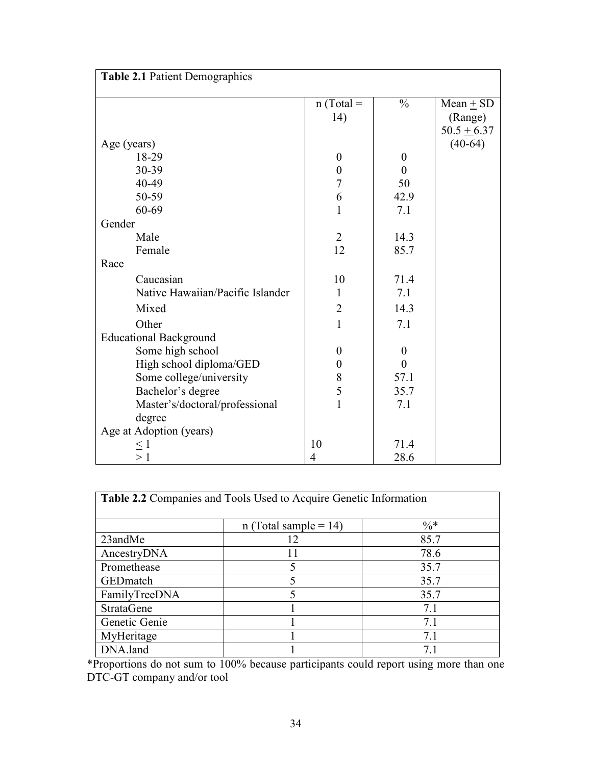| Table 2.1 Patient Demographics   |                  |                  |               |  |
|----------------------------------|------------------|------------------|---------------|--|
|                                  | $n$ (Total =     | $\frac{0}{0}$    | Mean $\pm$ SD |  |
|                                  | 14)              |                  | (Range)       |  |
|                                  |                  |                  | $50.5 + 6.37$ |  |
| Age (years)                      |                  |                  | $(40-64)$     |  |
| 18-29                            | $\boldsymbol{0}$ | $\boldsymbol{0}$ |               |  |
| 30-39                            | $\boldsymbol{0}$ | $\Omega$         |               |  |
| 40-49                            | 7                | 50               |               |  |
| 50-59                            | 6                | 42.9             |               |  |
| 60-69                            | $\mathbf{1}$     | 7.1              |               |  |
| Gender                           |                  |                  |               |  |
| Male                             | $\overline{2}$   | 14.3             |               |  |
| Female                           | 12               | 85.7             |               |  |
| Race                             |                  |                  |               |  |
| Caucasian                        | 10               | 71.4             |               |  |
| Native Hawaiian/Pacific Islander | 1                | 7.1              |               |  |
| Mixed                            | $\overline{2}$   | 14.3             |               |  |
| Other                            | $\mathbf{1}$     | 7.1              |               |  |
| <b>Educational Background</b>    |                  |                  |               |  |
| Some high school                 | $\boldsymbol{0}$ | $\theta$         |               |  |
| High school diploma/GED          | $\boldsymbol{0}$ | $\overline{0}$   |               |  |
| Some college/university          | 8                | 57.1             |               |  |
| Bachelor's degree                | 5                | 35.7             |               |  |
| Master's/doctoral/professional   | $\mathbf{1}$     | 7.1              |               |  |
| degree                           |                  |                  |               |  |
| Age at Adoption (years)          |                  |                  |               |  |
| $\leq$ 1                         | 10               | 71.4             |               |  |
| >1                               | 4                | 28.6             |               |  |

| <b>Table 2.2</b> Companies and Tools Used to Acquire Genetic Information |                          |       |  |  |
|--------------------------------------------------------------------------|--------------------------|-------|--|--|
|                                                                          | n (Total sample = $14$ ) | $\%*$ |  |  |
| 23andMe                                                                  | 12                       | 85.7  |  |  |
| AncestryDNA                                                              | 11                       | 78.6  |  |  |
| Promethease                                                              | 5                        | 35.7  |  |  |
| <b>GED</b> match                                                         | 5                        | 35.7  |  |  |
| FamilyTreeDNA                                                            | 5                        | 35.7  |  |  |
| <b>StrataGene</b>                                                        |                          | 7.1   |  |  |
| Genetic Genie                                                            |                          | 7.1   |  |  |
| MyHeritage                                                               |                          | 7.1   |  |  |
| DNA.land                                                                 |                          |       |  |  |

\*Proportions do not sum to 100% because participants could report using more than one DTC-GT company and/or tool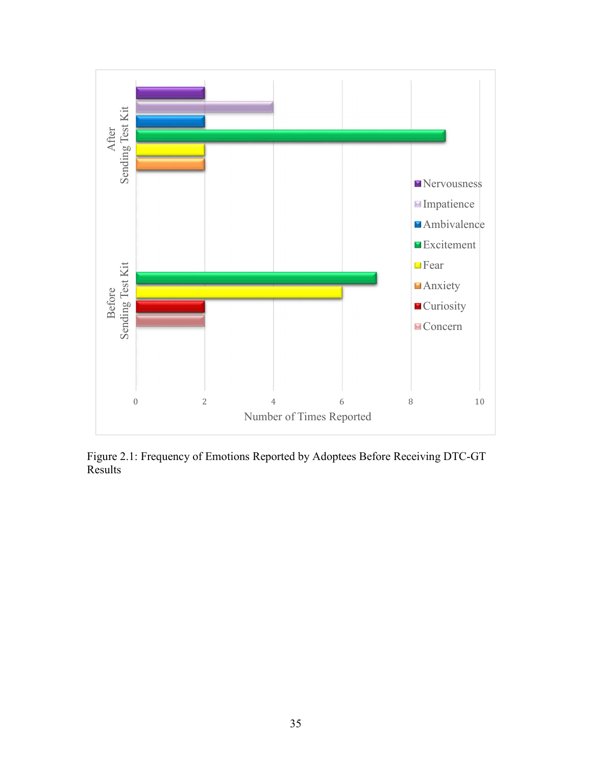

Figure 2.1: Frequency of Emotions Reported by Adoptees Before Receiving DTC-GT Results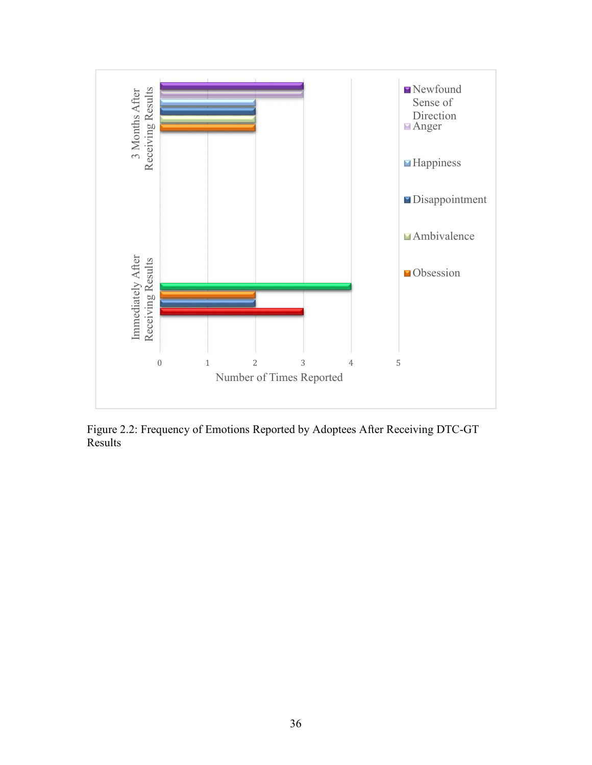

Figure 2.2: Frequency of Emotions Reported by Adoptees After Receiving DTC-GT Results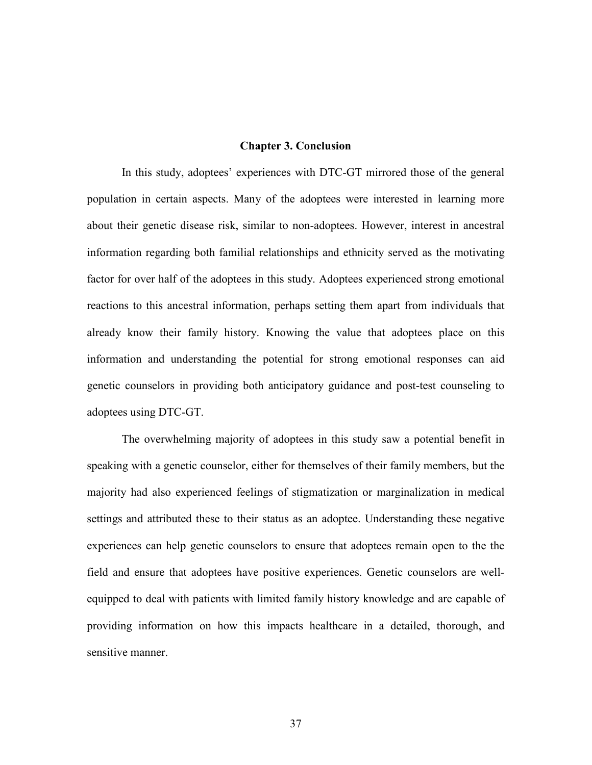#### **Chapter 3. Conclusion**

In this study, adoptees' experiences with DTC-GT mirrored those of the general population in certain aspects. Many of the adoptees were interested in learning more about their genetic disease risk, similar to non-adoptees. However, interest in ancestral information regarding both familial relationships and ethnicity served as the motivating factor for over half of the adoptees in this study. Adoptees experienced strong emotional reactions to this ancestral information, perhaps setting them apart from individuals that already know their family history. Knowing the value that adoptees place on this information and understanding the potential for strong emotional responses can aid genetic counselors in providing both anticipatory guidance and post-test counseling to adoptees using DTC-GT.

 The overwhelming majority of adoptees in this study saw a potential benefit in speaking with a genetic counselor, either for themselves of their family members, but the majority had also experienced feelings of stigmatization or marginalization in medical settings and attributed these to their status as an adoptee. Understanding these negative experiences can help genetic counselors to ensure that adoptees remain open to the the field and ensure that adoptees have positive experiences. Genetic counselors are wellequipped to deal with patients with limited family history knowledge and are capable of providing information on how this impacts healthcare in a detailed, thorough, and sensitive manner.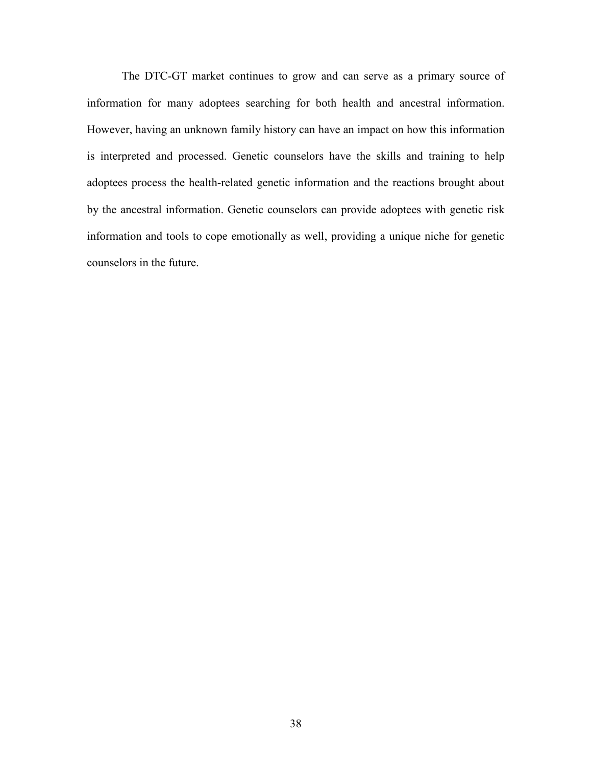The DTC-GT market continues to grow and can serve as a primary source of information for many adoptees searching for both health and ancestral information. However, having an unknown family history can have an impact on how this information is interpreted and processed. Genetic counselors have the skills and training to help adoptees process the health-related genetic information and the reactions brought about by the ancestral information. Genetic counselors can provide adoptees with genetic risk information and tools to cope emotionally as well, providing a unique niche for genetic counselors in the future.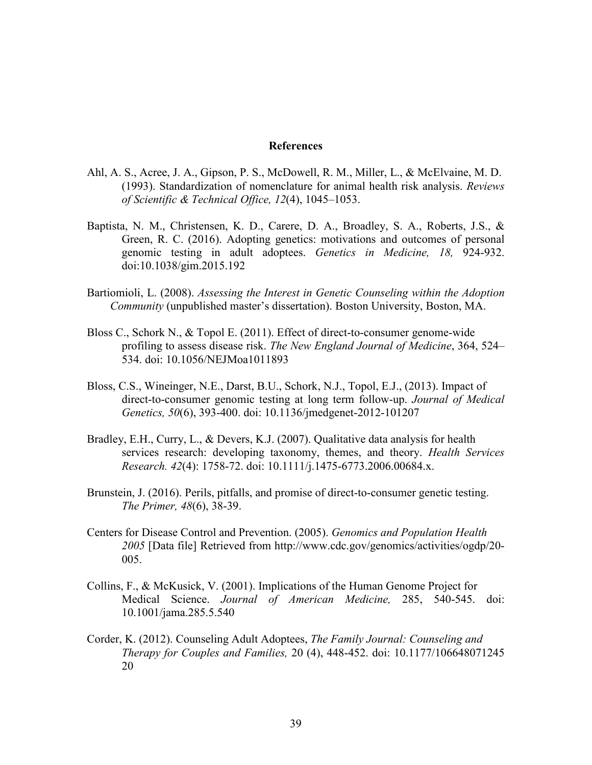#### **References**

- Ahl, A. S., Acree, J. A., Gipson, P. S., McDowell, R. M., Miller, L., & McElvaine, M. D. (1993). Standardization of nomenclature for animal health risk analysis. *Reviews of Scientific & Technical Office, 12*(4), 1045–1053.
- Baptista, N. M., Christensen, K. D., Carere, D. A., Broadley, S. A., Roberts, J.S., & Green, R. C. (2016). Adopting genetics: motivations and outcomes of personal genomic testing in adult adoptees. *Genetics in Medicine, 18,* 924-932. doi:10.1038/gim.2015.192
- Bartiomioli, L. (2008). *Assessing the Interest in Genetic Counseling within the Adoption Community* (unpublished master's dissertation). Boston University, Boston, MA.
- Bloss C., Schork N., & Topol E. (2011). Effect of direct-to-consumer genome-wide profiling to assess disease risk. *The New England Journal of Medicine*, 364, 524– 534. doi: 10.1056/NEJMoa1011893
- Bloss, C.S., Wineinger, N.E., Darst, B.U., Schork, N.J., Topol, E.J., (2013). Impact of direct-to-consumer genomic testing at long term follow-up. *Journal of Medical Genetics, 50*(6), 393-400. doi: 10.1136/jmedgenet-2012-101207
- Bradley, E.H., Curry, L., & Devers, K.J. (2007). Qualitative data analysis for health services research: developing taxonomy, themes, and theory. *Health Services Research. 42*(4): 1758-72. doi: 10.1111/j.1475-6773.2006.00684.x.
- Brunstein, J. (2016). Perils, pitfalls, and promise of direct-to-consumer genetic testing. *The Primer, 48*(6), 38-39.
- Centers for Disease Control and Prevention. (2005). *Genomics and Population Health 2005* [Data file] Retrieved from http://www.cdc.gov/genomics/activities/ogdp/20- 005.
- Collins, F., & McKusick, V. (2001). Implications of the Human Genome Project for Medical Science. *Journal of American Medicine,* 285, 540-545. doi: 10.1001/jama.285.5.540
- Corder, K. (2012). Counseling Adult Adoptees, *The Family Journal: Counseling and Therapy for Couples and Families,* 20 (4), 448-452. doi: 10.1177/106648071245 20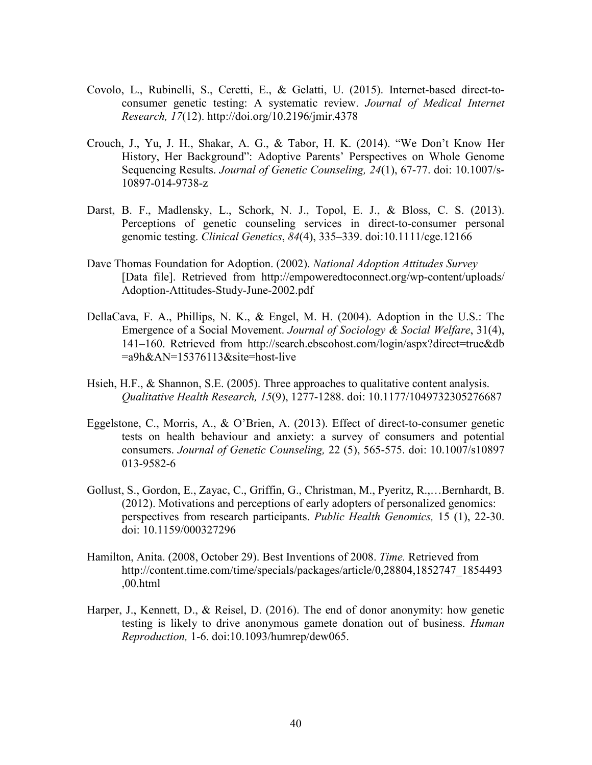- Covolo, L., Rubinelli, S., Ceretti, E., & Gelatti, U. (2015). Internet-based direct-to consumer genetic testing: A systematic review. *Journal of Medical Internet Research, 17*(12). http://doi.org/10.2196/jmir.4378
- Crouch, J., Yu, J. H., Shakar, A. G., & Tabor, H. K. (2014). "We Don't Know Her History, Her Background": Adoptive Parents' Perspectives on Whole Genome Sequencing Results. *Journal of Genetic Counseling, 24*(1), 67-77. doi: 10.1007/s- 10897-014-9738-z
- Darst, B. F., Madlensky, L., Schork, N. J., Topol, E. J., & Bloss, C. S. (2013). Perceptions of genetic counseling services in direct-to-consumer personal genomic testing. *Clinical Genetics*, *84*(4), 335–339. doi:10.1111/cge.12166
- Dave Thomas Foundation for Adoption. (2002). *National Adoption Attitudes Survey*  [Data file]. Retrieved from http://empoweredtoconnect.org/wp-content/uploads/ Adoption-Attitudes-Study-June-2002.pdf
- DellaCava, F. A., Phillips, N. K., & Engel, M. H. (2004). Adoption in the U.S.: The Emergence of a Social Movement. *Journal of Sociology & Social Welfare*, 31(4), 141–160. Retrieved from http://search.ebscohost.com/login/aspx?direct=true&db =a9h&AN=15376113&site=host-live
- Hsieh, H.F., & Shannon, S.E. (2005). Three approaches to qualitative content analysis. *Qualitative Health Research, 15*(9), 1277-1288. doi: 10.1177/1049732305276687
- Eggelstone, C., Morris, A., & O'Brien, A. (2013). Effect of direct-to-consumer genetic tests on health behaviour and anxiety: a survey of consumers and potential consumers. *Journal of Genetic Counseling,* 22 (5), 565-575. doi: 10.1007/s10897 013-9582-6
- Gollust, S., Gordon, E., Zayac, C., Griffin, G., Christman, M., Pyeritz, R.,…Bernhardt, B. (2012). Motivations and perceptions of early adopters of personalized genomics: perspectives from research participants. *Public Health Genomics,* 15 (1), 22-30. doi: 10.1159/000327296
- Hamilton, Anita. (2008, October 29). Best Inventions of 2008. *Time.* Retrieved from http://content.time.com/time/specials/packages/article/0,28804,1852747\_1854493 ,00.html
- Harper, J., Kennett, D., & Reisel, D. (2016). The end of donor anonymity: how genetic testing is likely to drive anonymous gamete donation out of business. *Human Reproduction,* 1-6. doi:10.1093/humrep/dew065.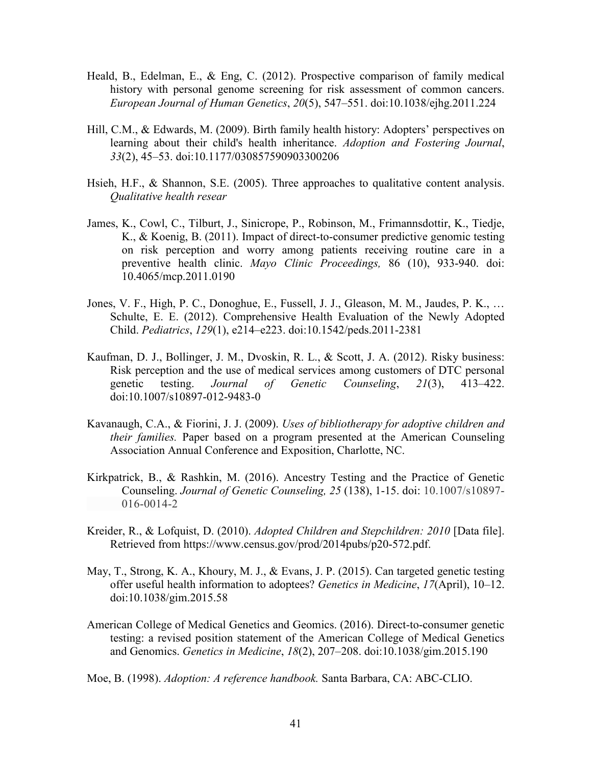- Heald, B., Edelman, E., & Eng, C. (2012). Prospective comparison of family medical history with personal genome screening for risk assessment of common cancers. *European Journal of Human Genetics*, *20*(5), 547–551. doi:10.1038/ejhg.2011.224
- Hill, C.M., & Edwards, M. (2009). Birth family health history: Adopters' perspectives on learning about their child's health inheritance. *Adoption and Fostering Journal*, *33*(2), 45–53. doi:10.1177/030857590903300206
- Hsieh, H.F., & Shannon, S.E. (2005). Three approaches to qualitative content analysis. *Qualitative health resear*
- James, K., Cowl, C., Tilburt, J., Sinicrope, P., Robinson, M., Frimannsdottir, K., Tiedje, K., & Koenig, B. (2011). Impact of direct-to-consumer predictive genomic testing on risk perception and worry among patients receiving routine care in a preventive health clinic. *Mayo Clinic Proceedings,* 86 (10), 933-940. doi: 10.4065/mcp.2011.0190
- Jones, V. F., High, P. C., Donoghue, E., Fussell, J. J., Gleason, M. M., Jaudes, P. K., … Schulte, E. E. (2012). Comprehensive Health Evaluation of the Newly Adopted Child. *Pediatrics*, *129*(1), e214–e223. doi:10.1542/peds.2011-2381
- Kaufman, D. J., Bollinger, J. M., Dvoskin, R. L., & Scott, J. A. (2012). Risky business: Risk perception and the use of medical services among customers of DTC personal genetic testing. *Journal of Genetic Counseling*, *21*(3), 413–422. doi:10.1007/s10897-012-9483-0
- Kavanaugh, C.A., & Fiorini, J. J. (2009). *Uses of bibliotherapy for adoptive children and their families.* Paper based on a program presented at the American Counseling Association Annual Conference and Exposition, Charlotte, NC.
- Kirkpatrick, B., & Rashkin, M. (2016). Ancestry Testing and the Practice of Genetic Counseling. *Journal of Genetic Counseling, 25* (138), 1-15. doi: 10.1007/s10897- 016-0014-2
- Kreider, R., & Lofquist, D. (2010). *Adopted Children and Stepchildren: 2010* [Data file]. Retrieved from https://www.census.gov/prod/2014pubs/p20-572.pdf.
- May, T., Strong, K. A., Khoury, M. J., & Evans, J. P. (2015). Can targeted genetic testing offer useful health information to adoptees? *Genetics in Medicine*, *17*(April), 10–12. doi:10.1038/gim.2015.58
- American College of Medical Genetics and Geomics. (2016). Direct-to-consumer genetic testing: a revised position statement of the American College of Medical Genetics and Genomics. *Genetics in Medicine*, *18*(2), 207–208. doi:10.1038/gim.2015.190
- Moe, B. (1998). *Adoption: A reference handbook.* Santa Barbara, CA: ABC-CLIO.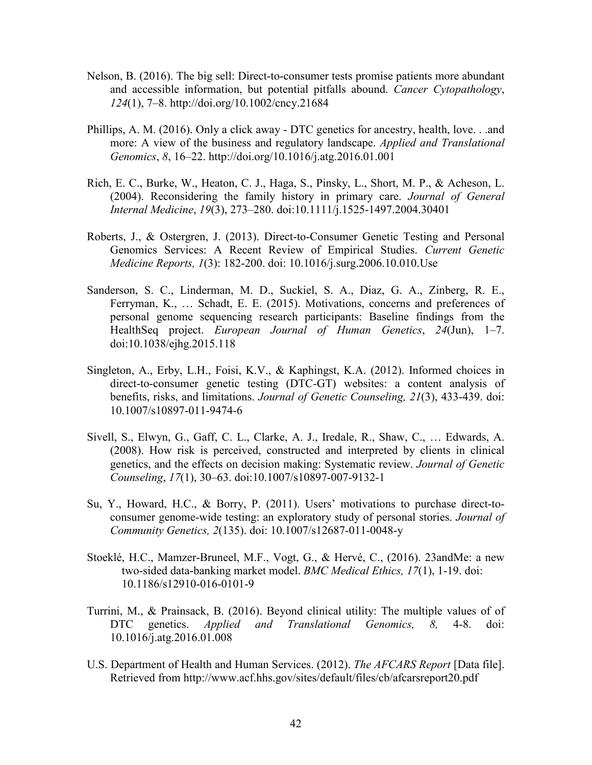- Nelson, B. (2016). The big sell: Direct-to-consumer tests promise patients more abundant and accessible information, but potential pitfalls abound. *Cancer Cytopathology*, *124*(1), 7–8. http://doi.org/10.1002/cncy.21684
- Phillips, A. M. (2016). Only a click away DTC genetics for ancestry, health, love. . .and more: A view of the business and regulatory landscape. *Applied and Translational Genomics*, *8*, 16–22. http://doi.org/10.1016/j.atg.2016.01.001
- Rich, E. C., Burke, W., Heaton, C. J., Haga, S., Pinsky, L., Short, M. P., & Acheson, L. (2004). Reconsidering the family history in primary care. *Journal of General Internal Medicine*, *19*(3), 273–280. doi:10.1111/j.1525-1497.2004.30401
- Roberts, J., & Ostergren, J. (2013). Direct-to-Consumer Genetic Testing and Personal Genomics Services: A Recent Review of Empirical Studies. *Current Genetic Medicine Reports, 1*(3): 182-200. doi: 10.1016/j.surg.2006.10.010.Use
- Sanderson, S. C., Linderman, M. D., Suckiel, S. A., Diaz, G. A., Zinberg, R. E., Ferryman, K., … Schadt, E. E. (2015). Motivations, concerns and preferences of personal genome sequencing research participants: Baseline findings from the HealthSeq project. *European Journal of Human Genetics*, *24*(Jun), 1–7. doi:10.1038/ejhg.2015.118
- Singleton, A., Erby, L.H., Foisi, K.V., & Kaphingst, K.A. (2012). Informed choices in direct-to-consumer genetic testing (DTC-GT) websites: a content analysis of benefits, risks, and limitations. *Journal of Genetic Counseling, 21*(3), 433-439. doi: 10.1007/s10897-011-9474-6
- Sivell, S., Elwyn, G., Gaff, C. L., Clarke, A. J., Iredale, R., Shaw, C., … Edwards, A. (2008). How risk is perceived, constructed and interpreted by clients in clinical genetics, and the effects on decision making: Systematic review. *Journal of Genetic Counseling*, *17*(1), 30–63. doi:10.1007/s10897-007-9132-1
- Su, Y., Howard, H.C., & Borry, P. (2011). Users' motivations to purchase direct-toconsumer genome-wide testing: an exploratory study of personal stories. *Journal of Community Genetics, 2*(135). doi: 10.1007/s12687-011-0048-y
- Stoeklé, H.C., Mamzer-Bruneel, M.F., Vogt, G., & Hervé, C., (2016). 23andMe: a new two-sided data-banking market model. *BMC Medical Ethics, 17*(1), 1-19. doi: 10.1186/s12910-016-0101-9
- Turrini, M., & Prainsack, B. (2016). Beyond clinical utility: The multiple values of of DTC genetics. *Applied and Translational Genomics, 8,* 4-8. doi: 10.1016/j.atg.2016.01.008
- U.S. Department of Health and Human Services. (2012). *The AFCARS Report* [Data file]. Retrieved from http://www.acf.hhs.gov/sites/default/files/cb/afcarsreport20.pdf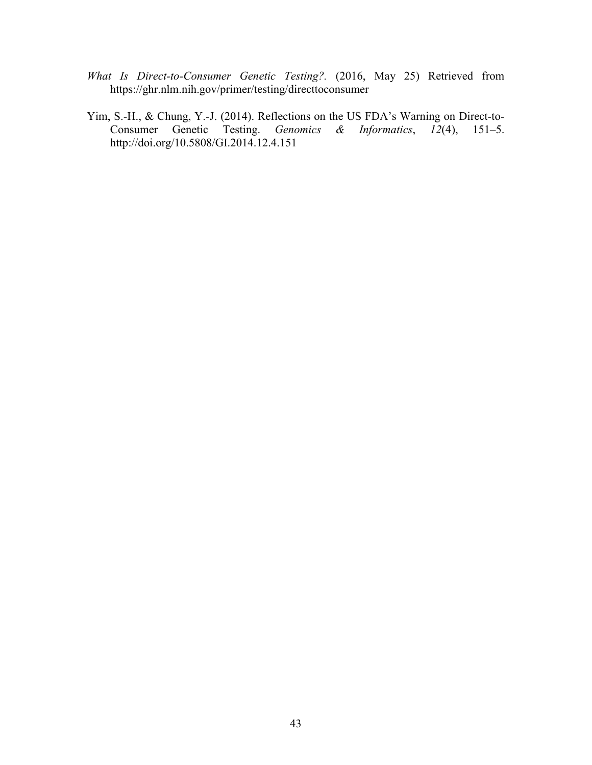- *What Is Direct-to-Consumer Genetic Testing?.* (2016, May 25) Retrieved from https://ghr.nlm.nih.gov/primer/testing/directtoconsumer
- Yim, S.-H., & Chung, Y.-J. (2014). Reflections on the US FDA's Warning on Direct-to-Consumer Genetic Testing. *Genomics & Informatics*, *12*(4), 151–5. http://doi.org/10.5808/GI.2014.12.4.151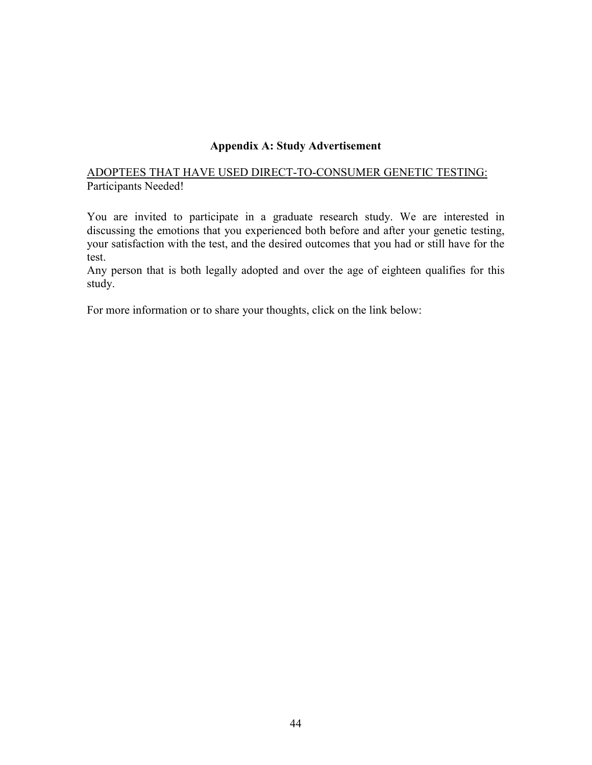### **Appendix A: Study Advertisement**

### ADOPTEES THAT HAVE USED DIRECT-TO-CONSUMER GENETIC TESTING: Participants Needed!

You are invited to participate in a graduate research study. We are interested in discussing the emotions that you experienced both before and after your genetic testing, your satisfaction with the test, and the desired outcomes that you had or still have for the test.

Any person that is both legally adopted and over the age of eighteen qualifies for this study.

For more information or to share your thoughts, click on the link below: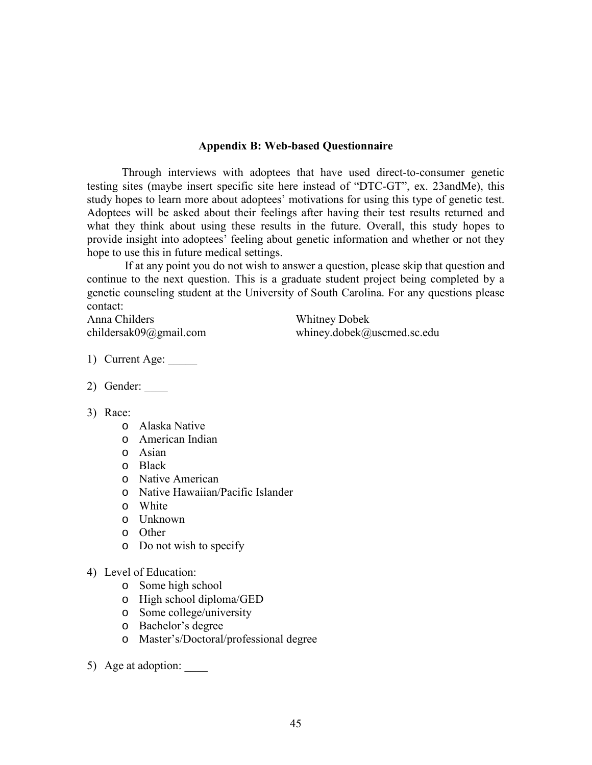#### **Appendix B: Web-based Questionnaire**

 Through interviews with adoptees that have used direct-to-consumer genetic testing sites (maybe insert specific site here instead of "DTC-GT", ex. 23andMe), this study hopes to learn more about adoptees' motivations for using this type of genetic test. Adoptees will be asked about their feelings after having their test results returned and what they think about using these results in the future. Overall, this study hopes to provide insight into adoptees' feeling about genetic information and whether or not they hope to use this in future medical settings.

 If at any point you do not wish to answer a question, please skip that question and continue to the next question. This is a graduate student project being completed by a genetic counseling student at the University of South Carolina. For any questions please contact:

Anna Childers Whitney Dobek

childersak09@gmail.com whiney.dobek@uscmed.sc.edu

- 1) Current Age:
- 2) Gender: \_\_\_\_
- 3) Race:
	- o Alaska Native
	- o American Indian
	- o Asian
	- o Black
	- o Native American
	- o Native Hawaiian/Pacific Islander
	- o White
	- o Unknown
	- o Other
	- o Do not wish to specify
- 4) Level of Education:
	- o Some high school
	- o High school diploma/GED
	- o Some college/university
	- o Bachelor's degree
	- o Master's/Doctoral/professional degree
- 5) Age at adoption: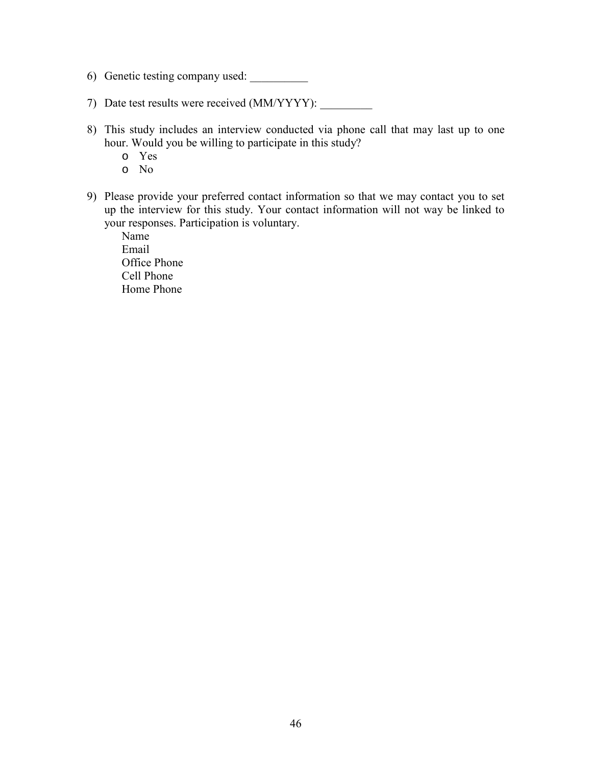- 6) Genetic testing company used:
- 7) Date test results were received (MM/YYYY):
- 8) This study includes an interview conducted via phone call that may last up to one hour. Would you be willing to participate in this study?
	- o Yes
	- o No
- 9) Please provide your preferred contact information so that we may contact you to set up the interview for this study. Your contact information will not way be linked to your responses. Participation is voluntary.

Name Email Office Phone Cell Phone Home Phone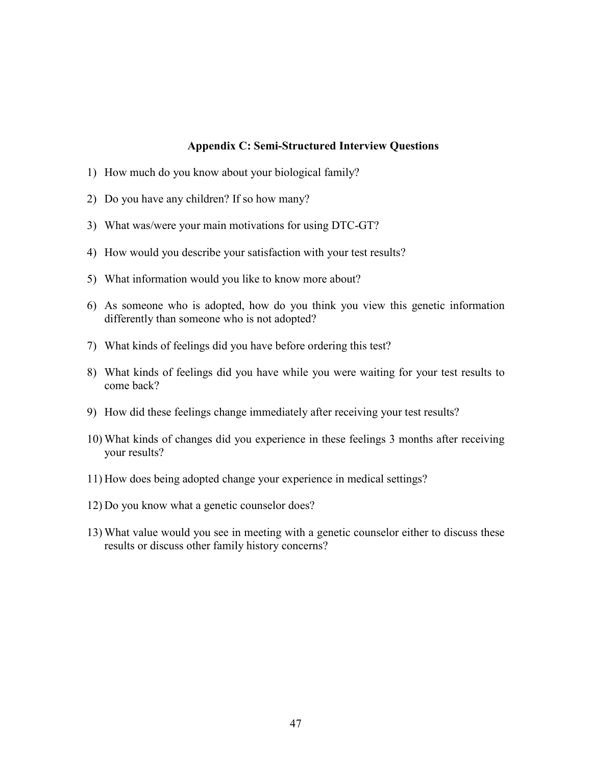#### **Appendix C: Semi-Structured Interview Questions**

- 1) How much do you know about your biological family?
- 2) Do you have any children? If so how many?
- 3) What was/were your main motivations for using DTC-GT?
- 4) How would you describe your satisfaction with your test results?
- 5) What information would you like to know more about?
- 6) As someone who is adopted, how do you think you view this genetic information differently than someone who is not adopted?
- 7) What kinds of feelings did you have before ordering this test?
- 8) What kinds of feelings did you have while you were waiting for your test results to come back?
- 9) How did these feelings change immediately after receiving your test results?
- 10) What kinds of changes did you experience in these feelings 3 months after receiving your results?
- 11) How does being adopted change your experience in medical settings?
- 12) Do you know what a genetic counselor does?
- 13) What value would you see in meeting with a genetic counselor either to discuss these results or discuss other family history concerns?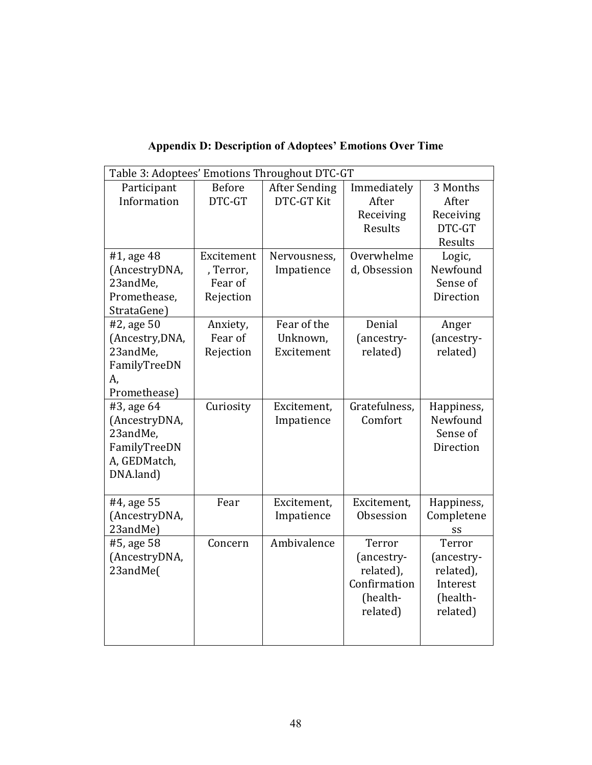| Table 3: Adoptees' Emotions Throughout DTC-GT                                        |                                                 |                                       |                                                                           |                                                                       |
|--------------------------------------------------------------------------------------|-------------------------------------------------|---------------------------------------|---------------------------------------------------------------------------|-----------------------------------------------------------------------|
| Participant<br>Information                                                           | <b>Before</b><br>DTC-GT                         | <b>After Sending</b><br>DTC-GT Kit    | Immediately<br>After<br>Receiving<br>Results                              | 3 Months<br>After<br>Receiving<br>DTC-GT                              |
| #1, age 48<br>(AncestryDNA,<br>23andMe,<br>Promethease,<br>StrataGene)               | Excitement<br>, Terror,<br>Fear of<br>Rejection | Nervousness,<br>Impatience            | Overwhelme<br>d, Obsession                                                | Results<br>Logic,<br>Newfound<br>Sense of<br>Direction                |
| #2, age 50<br>(Ancestry, DNA,<br>23andMe,<br>FamilyTreeDN<br>A,<br>Promethease)      | Anxiety,<br>Fear of<br>Rejection                | Fear of the<br>Unknown,<br>Excitement | Denial<br>(ancestry-<br>related)                                          | Anger<br>(ancestry-<br>related)                                       |
| #3, age 64<br>(AncestryDNA,<br>23andMe,<br>FamilyTreeDN<br>A, GEDMatch,<br>DNA.land) | Curiosity                                       | Excitement,<br>Impatience             | Gratefulness,<br>Comfort                                                  | Happiness,<br>Newfound<br>Sense of<br>Direction                       |
| #4, age 55<br>(AncestryDNA,<br>23andMe)                                              | Fear                                            | Excitement,<br>Impatience             | Excitement,<br>Obsession                                                  | Happiness,<br>Completene<br>SS                                        |
| #5, age 58<br>(AncestryDNA,<br>23andMe(                                              | Concern                                         | Ambivalence                           | Terror<br>(ancestry-<br>related),<br>Confirmation<br>(health-<br>related) | Terror<br>(ancestry-<br>related),<br>Interest<br>(health-<br>related) |

**Appendix D: Description of Adoptees' Emotions Over Time**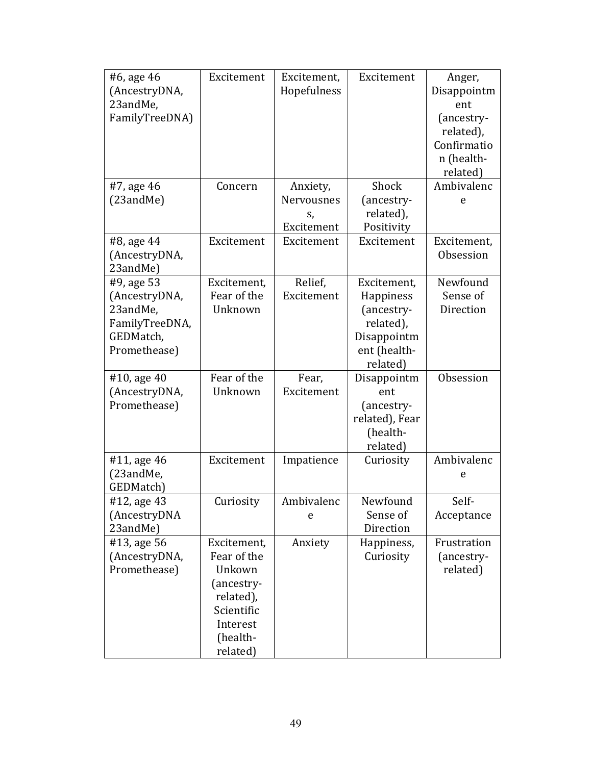| #6, age 46<br>(AncestryDNA,<br>23andMe,<br>FamilyTreeDNA)                              | Excitement                                                                                                        | Excitement,<br>Hopefulness | Excitement                                                                                     | Anger,<br>Disappointm<br>ent<br>(ancestry-<br>related),<br>Confirmatio<br>n (health-<br>related) |
|----------------------------------------------------------------------------------------|-------------------------------------------------------------------------------------------------------------------|----------------------------|------------------------------------------------------------------------------------------------|--------------------------------------------------------------------------------------------------|
| #7, age 46<br>(23andMe)                                                                | Concern                                                                                                           | Anxiety,<br>Nervousnes     | Shock<br>(ancestry-                                                                            | Ambivalenc<br>e                                                                                  |
|                                                                                        |                                                                                                                   | S,<br>Excitement           | related),<br>Positivity                                                                        |                                                                                                  |
| #8, age 44<br>(AncestryDNA,<br>23andMe)                                                | Excitement                                                                                                        | Excitement                 | Excitement                                                                                     | Excitement,<br>Obsession                                                                         |
| #9, age 53<br>(AncestryDNA,<br>23andMe,<br>FamilyTreeDNA,<br>GEDMatch,<br>Promethease) | Excitement,<br>Fear of the<br>Unknown                                                                             | Relief,<br>Excitement      | Excitement,<br>Happiness<br>(ancestry-<br>related),<br>Disappointm<br>ent (health-<br>related) | Newfound<br>Sense of<br>Direction                                                                |
| #10, age 40<br>(AncestryDNA,<br>Promethease)                                           | Fear of the<br>Unknown                                                                                            | Fear,<br>Excitement        | Disappointm<br>ent<br>(ancestry-<br>related), Fear<br>(health-<br>related)                     | Obsession                                                                                        |
| #11, age 46<br>(23andMe,<br>GEDMatch)                                                  | Excitement                                                                                                        | Impatience                 | Curiosity                                                                                      | Ambivalenc<br>e                                                                                  |
| #12, age 43<br>(AncestryDNA<br>23andMe)                                                | Curiosity                                                                                                         | Ambivalenc<br>e            | Newfound<br>Sense of<br>Direction                                                              | Self-<br>Acceptance                                                                              |
| #13, age 56<br>(AncestryDNA,<br>Promethease)                                           | Excitement,<br>Fear of the<br>Unkown<br>(ancestry-<br>related),<br>Scientific<br>Interest<br>(health-<br>related) | Anxiety                    | Happiness,<br>Curiosity                                                                        | Frustration<br>(ancestry-<br>related)                                                            |